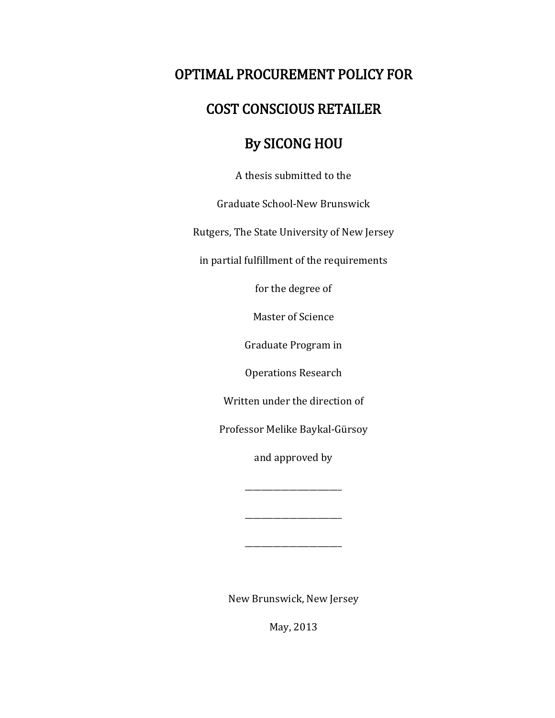# OPTIMAL PROCUREMENT POLICY FOR

## COST CONSCIOUS RETAILER

# By SICONG HOU

A thesis submitted to the

Graduate School-New Brunswick

Rutgers, The State University of New Jersey

in partial fulfillment of the requirements

for the degree of

Master of Science

Graduate Program in

Operations Research

Written under the direction of

Professor Melike Baykal-Gürsoy

and approved by

\_\_\_\_\_\_\_\_\_\_\_\_\_\_\_\_\_\_\_\_\_\_\_\_

\_\_\_\_\_\_\_\_\_\_\_\_\_\_\_\_\_\_\_\_\_\_\_\_

\_\_\_\_\_\_\_\_\_\_\_\_\_\_\_\_\_\_\_\_\_\_\_\_

New Brunswick, New Jersey

May, 2013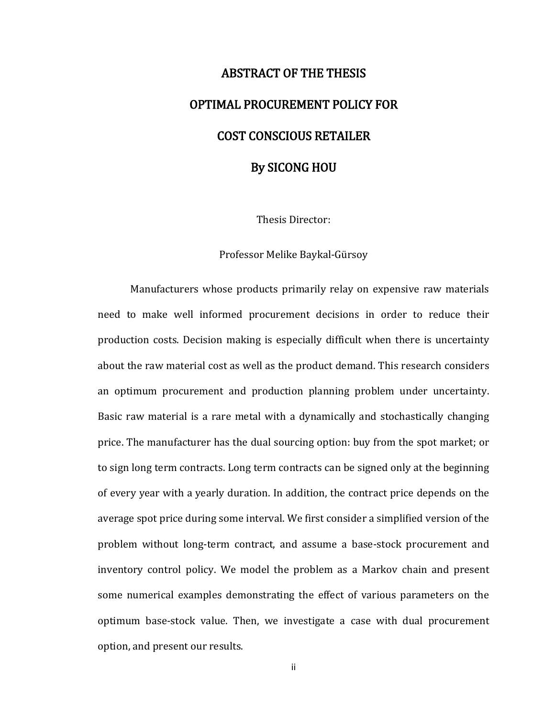# ABSTRACT OF THE THESIS OPTIMAL PROCUREMENT POLICY FOR COST CONSCIOUS RETAILER By SICONG HOU

Thesis Director:

Professor Melike Baykal-Gürsoy

Manufacturers whose products primarily relay on expensive raw materials need to make well informed procurement decisions in order to reduce their production costs. Decision making is especially difficult when there is uncertainty about the raw material cost as well as the product demand. This research considers an optimum procurement and production planning problem under uncertainty. Basic raw material is a rare metal with a dynamically and stochastically changing price. The manufacturer has the dual sourcing option: buy from the spot market; or to sign long term contracts. Long term contracts can be signed only at the beginning of every year with a yearly duration. In addition, the contract price depends on the average spot price during some interval. We first consider a simplified version of the problem without long-term contract, and assume a base-stock procurement and inventory control policy. We model the problem as a Markov chain and present some numerical examples demonstrating the effect of various parameters on the optimum base-stock value. Then, we investigate a case with dual procurement option, and present our results.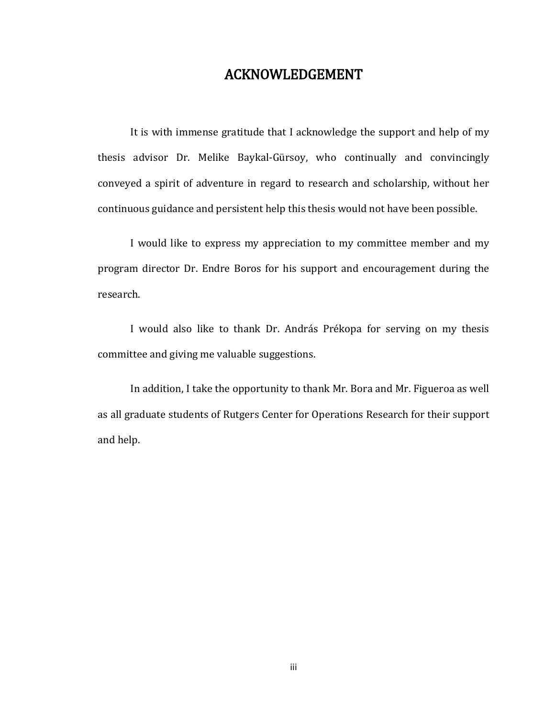## ACKNOWLEDGEMENT

It is with immense gratitude that I acknowledge the support and help of my thesis advisor Dr. Melike Baykal-Gürsoy, who continually and convincingly conveyed a spirit of adventure in regard to research and scholarship, without her continuous guidance and persistent help this thesis would not have been possible.

I would like to express my appreciation to my committee member and my program director Dr. Endre Boros for his support and encouragement during the research.

I would also like to thank Dr. András Prékopa for serving on my thesis committee and giving me valuable suggestions.

In addition, I take the opportunity to thank Mr. [Bora a](http://rutcor.rutgers.edu/~smietana/)nd Mr. Figueroa as well as all graduate students of Rutgers Center for Operations Research for their support and help.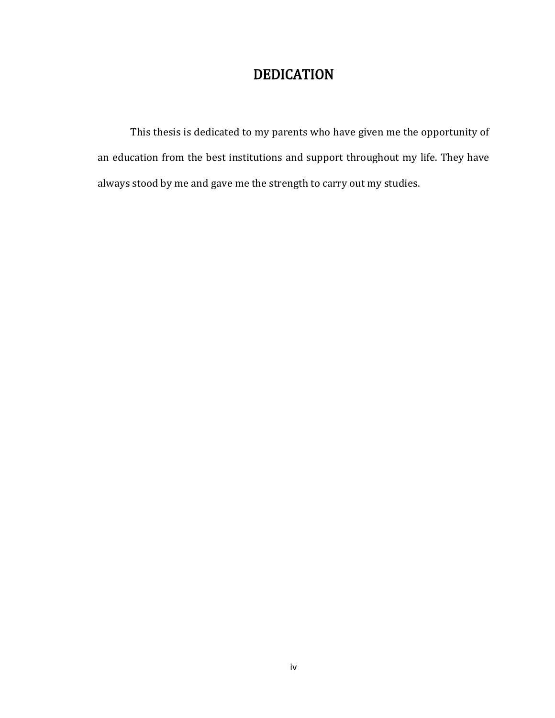# DEDICATION

This thesis is dedicated to my parents who have given me the opportunity of an education from the best institutions and support throughout my life. They have always stood by me and gave me the strength to carry out my studies.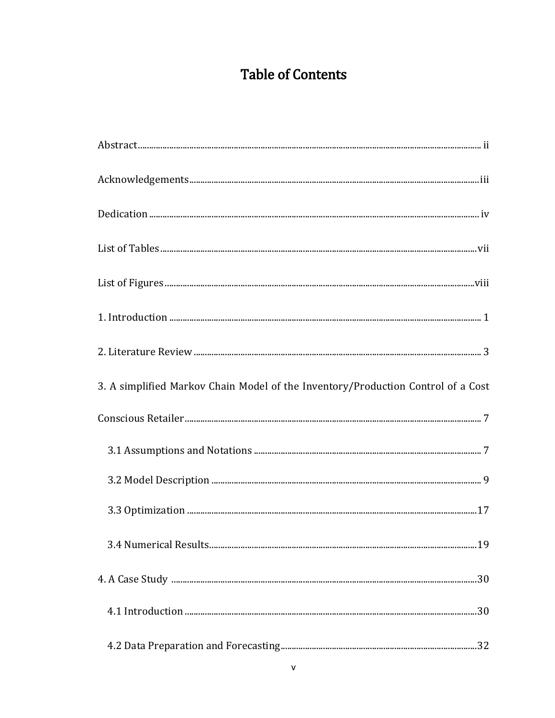# **Table of Contents**

| $List of Figures \begin{tabular}{l} \textbf{} \end{tabular} \label{tab:2} \begin{tabular}{l} \textbf{List of Figures} \end{tabular}$ |  |
|--------------------------------------------------------------------------------------------------------------------------------------|--|
|                                                                                                                                      |  |
|                                                                                                                                      |  |
| 3. A simplified Markov Chain Model of the Inventory/Production Control of a Cost                                                     |  |
|                                                                                                                                      |  |
|                                                                                                                                      |  |
|                                                                                                                                      |  |
|                                                                                                                                      |  |
|                                                                                                                                      |  |
|                                                                                                                                      |  |
|                                                                                                                                      |  |
|                                                                                                                                      |  |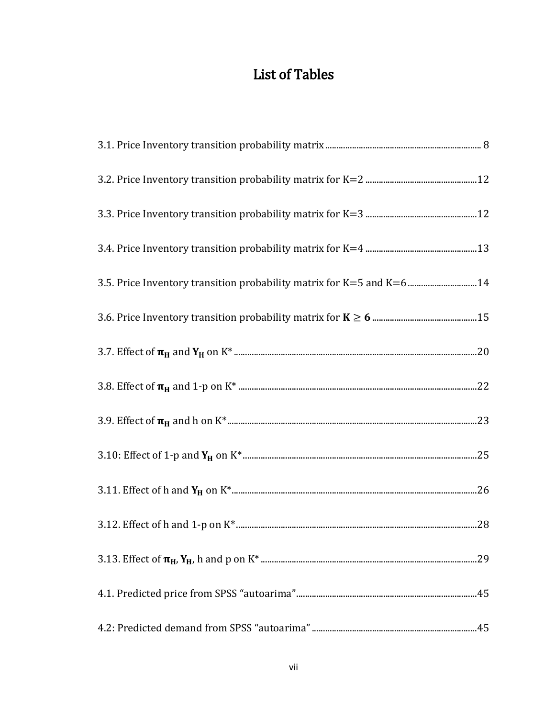# **List of Tables**

| 3.5. Price Inventory transition probability matrix for K=5 and K=6  14 |  |
|------------------------------------------------------------------------|--|
|                                                                        |  |
|                                                                        |  |
|                                                                        |  |
|                                                                        |  |
|                                                                        |  |
|                                                                        |  |
|                                                                        |  |
|                                                                        |  |
|                                                                        |  |
|                                                                        |  |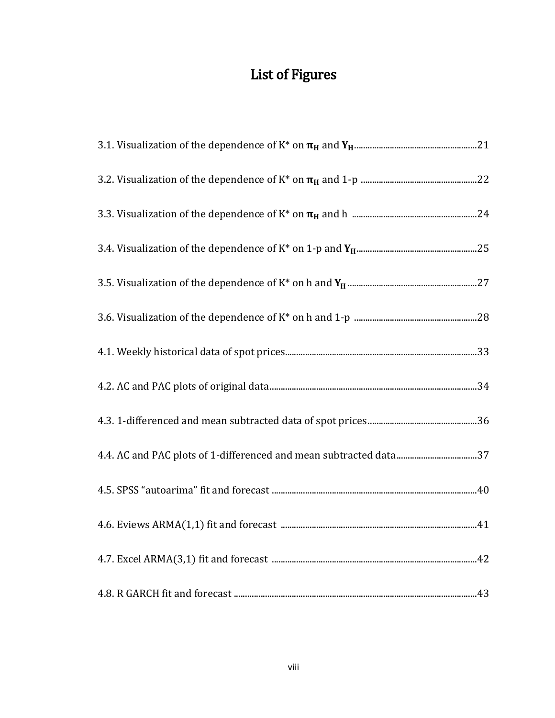# List of Figures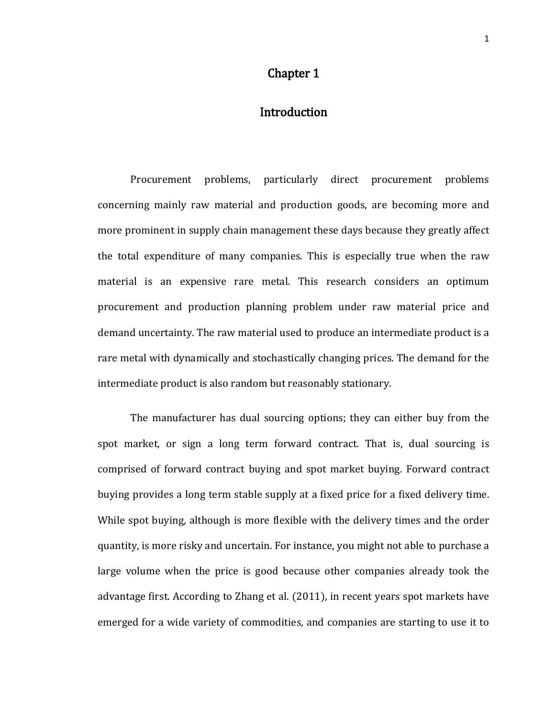#### Chapter 1

## **Introduction**

Procurement problems, particularly direct procurement problems concerning mainly raw material and production goods, are becoming more and more prominent in supply chain management these days because they greatly affect the total expenditure of many companies. This is especially true when the raw material is an expensive rare metal. This research considers an optimum procurement and production planning problem under raw material price and demand uncertainty. The raw material used to produce an intermediate product is a rare metal with dynamically and stochastically changing prices. The demand for the intermediate product is also random but reasonably stationary.

The manufacturer has dual sourcing options; they can either buy from the spot market, or sign a long term forward contract. That is, dual sourcing is comprised of forward contract buying and spot market buying. Forward contract buying provides a long term stable supply at a fixed price for a fixed delivery time. While spot buying, although is more flexible with the delivery times and the order quantity, is more risky and uncertain. For instance, you might not able to purchase a large volume when the price is good because other companies already took the advantage first. According to Zhang et al. (2011), in recent years spot markets have emerged for a wide variety of commodities, and companies are starting to use it to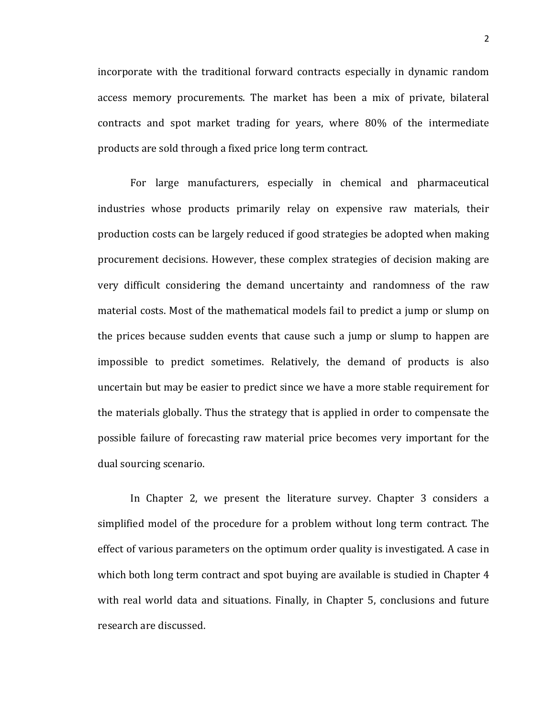incorporate with the traditional forward contracts especially in dynamic random access memory procurements. The market has been a mix of private, bilateral contracts and spot market trading for years, where 80% of the intermediate products are sold through a fixed price long term contract.

For large manufacturers, especially in chemical and pharmaceutical industries whose products primarily relay on expensive raw materials, their production costs can be largely reduced if good strategies be adopted when making procurement decisions. However, these complex strategies of decision making are very difficult considering the demand uncertainty and randomness of the raw material costs. Most of the mathematical models fail to predict a jump or slump on the prices because sudden events that cause such a jump or slump to happen are impossible to predict sometimes. Relatively, the demand of products is also uncertain but may be easier to predict since we have a more stable requirement for the materials globally. Thus the strategy that is applied in order to compensate the possible failure of forecasting raw material price becomes very important for the dual sourcing scenario.

In Chapter 2, we present the literature survey. Chapter 3 considers a simplified model of the procedure for a problem without long term contract. The effect of various parameters on the optimum order quality is investigated. A case in which both long term contract and spot buying are available is studied in Chapter 4 with real world data and situations. Finally, in Chapter 5, conclusions and future research are discussed.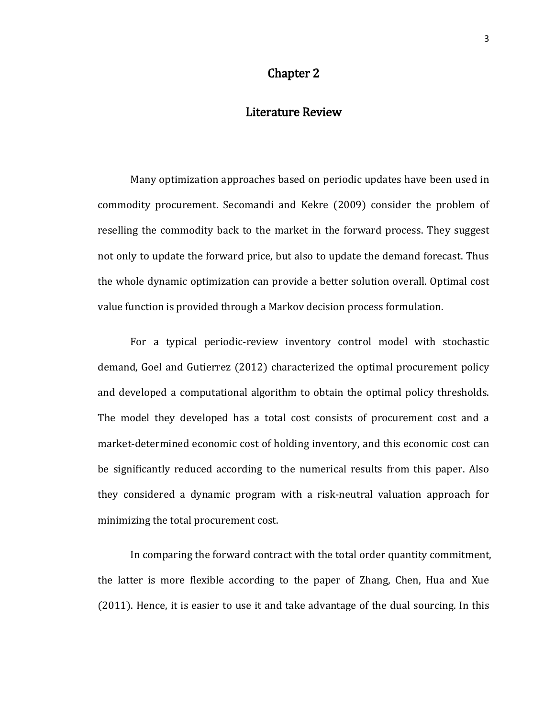### Chapter 2

#### Literature Review

Many optimization approaches based on periodic updates have been used in commodity procurement. Secomandi and Kekre (2009) consider the problem of reselling the commodity back to the market in the forward process. They suggest not only to update the forward price, but also to update the demand forecast. Thus the whole dynamic optimization can provide a better solution overall. Optimal cost value function is provided through a Markov decision process formulation.

For a typical periodic-review inventory control model with stochastic demand, Goel and Gutierrez (2012) characterized the optimal procurement policy and developed a computational algorithm to obtain the optimal policy thresholds. The model they developed has a total cost consists of procurement cost and a market-determined economic cost of holding inventory, and this economic cost can be significantly reduced according to the numerical results from this paper. Also they considered a dynamic program with a risk-neutral valuation approach for minimizing the total procurement cost.

In comparing the forward contract with the total order quantity commitment, the latter is more flexible according to the paper of Zhang, Chen, Hua and Xue (2011). Hence, it is easier to use it and take advantage of the dual sourcing. In this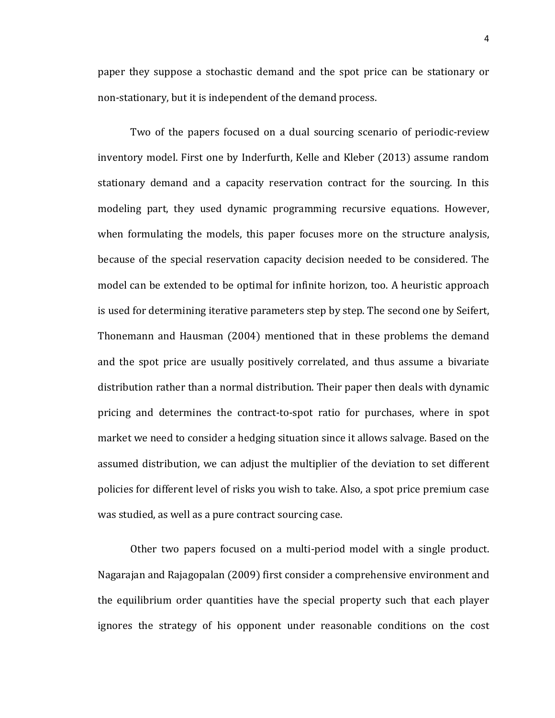paper they suppose a stochastic demand and the spot price can be stationary or non-stationary, but it is independent of the demand process.

Two of the papers focused on a dual sourcing scenario of periodic-review inventory model. First one by Inderfurth, Kelle and Kleber (2013) assume random stationary demand and a capacity reservation contract for the sourcing. In this modeling part, they used dynamic programming recursive equations. However, when formulating the models, this paper focuses more on the structure analysis, because of the special reservation capacity decision needed to be considered. The model can be extended to be optimal for infinite horizon, too. A heuristic approach is used for determining iterative parameters step by step. The second one by Seifert, Thonemann and Hausman (2004) mentioned that in these problems the demand and the spot price are usually positively correlated, and thus assume a bivariate distribution rather than a normal distribution. Their paper then deals with dynamic pricing and determines the contract-to-spot ratio for purchases, where in spot market we need to consider a hedging situation since it allows salvage. Based on the assumed distribution, we can adjust the multiplier of the deviation to set different policies for different level of risks you wish to take. Also, a spot price premium case was studied, as well as a pure contract sourcing case.

Other two papers focused on a multi-period model with a single product. Nagarajan and Rajagopalan (2009) first consider a comprehensive environment and the equilibrium order quantities have the special property such that each player ignores the strategy of his opponent under reasonable conditions on the cost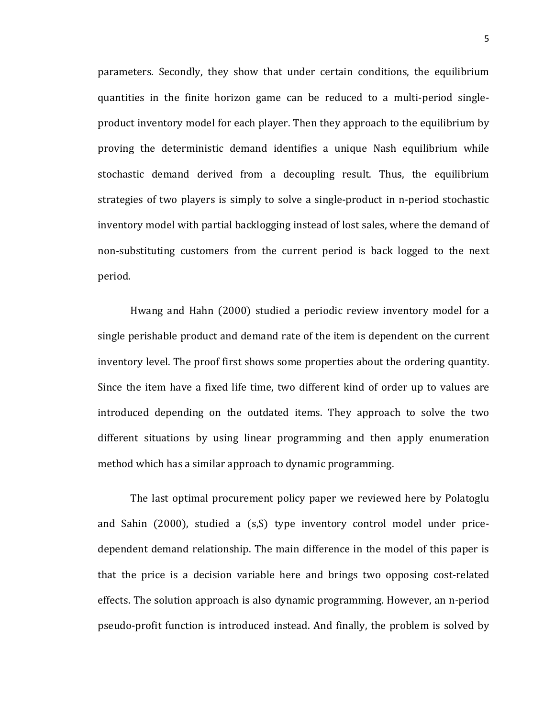parameters. Secondly, they show that under certain conditions, the equilibrium quantities in the finite horizon game can be reduced to a multi-period singleproduct inventory model for each player. Then they approach to the equilibrium by proving the deterministic demand identifies a unique Nash equilibrium while stochastic demand derived from a decoupling result. Thus, the equilibrium strategies of two players is simply to solve a single-product in n-period stochastic inventory model with partial backlogging instead of lost sales, where the demand of non-substituting customers from the current period is back logged to the next period.

Hwang and Hahn (2000) studied a periodic review inventory model for a single perishable product and demand rate of the item is dependent on the current inventory level. The proof first shows some properties about the ordering quantity. Since the item have a fixed life time, two different kind of order up to values are introduced depending on the outdated items. They approach to solve the two different situations by using linear programming and then apply enumeration method which has a similar approach to dynamic programming.

The last optimal procurement policy paper we reviewed here by Polatoglu and Sahin (2000), studied a (s,S) type inventory control model under pricedependent demand relationship. The main difference in the model of this paper is that the price is a decision variable here and brings two opposing cost-related effects. The solution approach is also dynamic programming. However, an n-period pseudo-profit function is introduced instead. And finally, the problem is solved by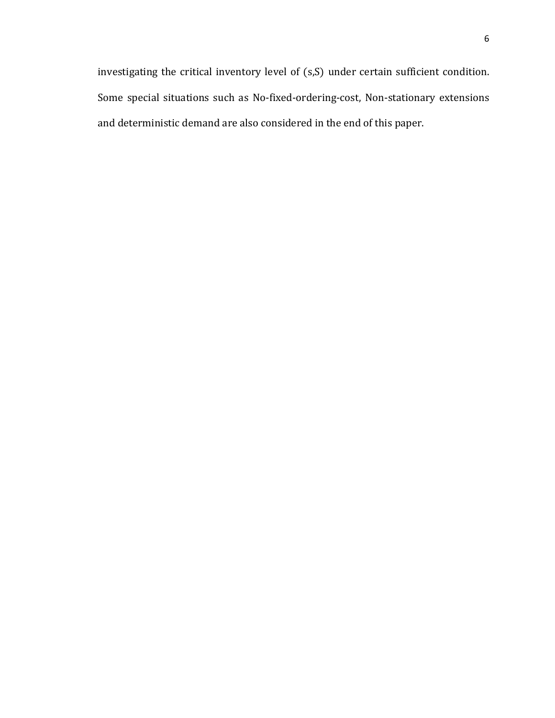investigating the critical inventory level of (s,S) under certain sufficient condition. Some special situations such as No-fixed-ordering-cost, Non-stationary extensions and deterministic demand are also considered in the end of this paper.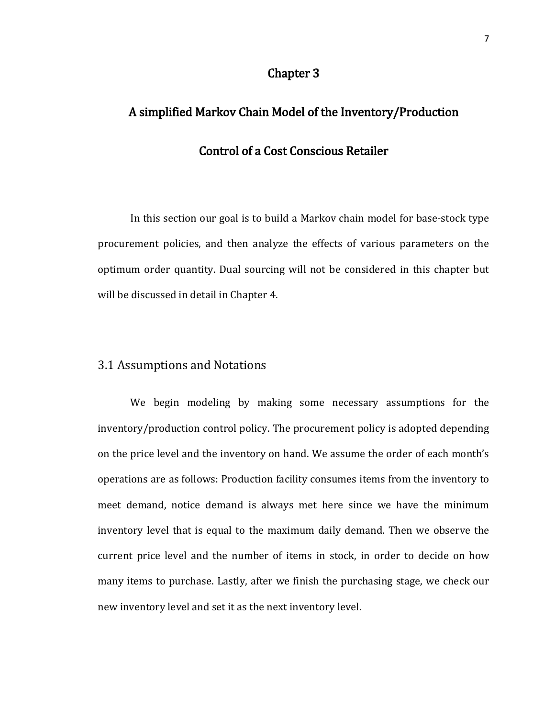### Chapter 3

# A simplified Markov Chain Model of the Inventory/Production Control of a Cost Conscious Retailer

In this section our goal is to build a Markov chain model for base-stock type procurement policies, and then analyze the effects of various parameters on the optimum order quantity. Dual sourcing will not be considered in this chapter but will be discussed in detail in Chapter 4.

## 3.1 Assumptions and Notations

We begin modeling by making some necessary assumptions for the inventory/production control policy. The procurement policy is adopted depending on the price level and the inventory on hand. We assume the order of each month's operations are as follows: Production facility consumes items from the inventory to meet demand, notice demand is always met here since we have the minimum inventory level that is equal to the maximum daily demand. Then we observe the current price level and the number of items in stock, in order to decide on how many items to purchase. Lastly, after we finish the purchasing stage, we check our new inventory level and set it as the next inventory level.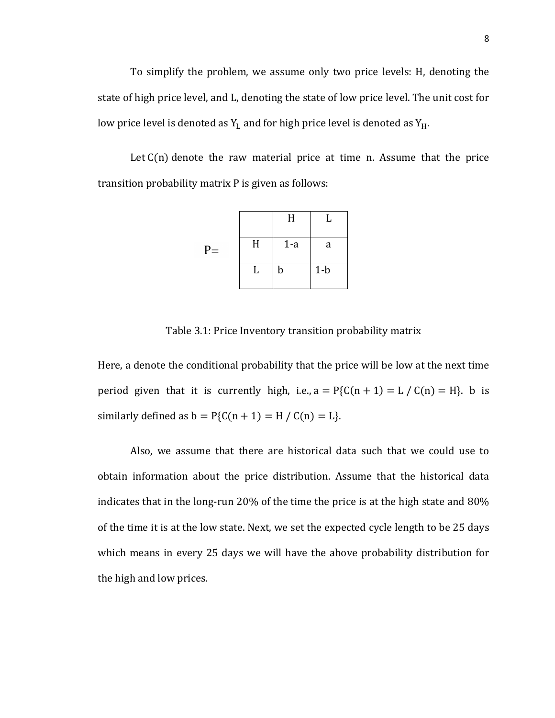To simplify the problem, we assume only two price levels: H, denoting the state of high price level, and L, denoting the state of low price level. The unit cost for low price level is denoted as  $Y_L$  and for high price level is denoted as  $Y_H$ .

Let  $C(n)$  denote the raw material price at time n. Assume that the price transition probability matrix P is given as follows:

|      |   | H     | U     |
|------|---|-------|-------|
| $P=$ | H | $1-a$ | a     |
|      | L | b     | $1-b$ |

Table 3.1: Price Inventory transition probability matrix

Here, a denote the conditional probability that the price will be low at the next time period given that it is currently high, i.e.,  $a = P\{C(n + 1) = L / C(n) = H\}$ . b is similarly defined as  $b = P(C(n + 1) = H / C(n) = L)$ .

Also, we assume that there are historical data such that we could use to obtain information about the price distribution. Assume that the historical data indicates that in the long-run 20% of the time the price is at the high state and 80% of the time it is at the low state. Next, we set the expected cycle length to be 25 days which means in every 25 days we will have the above probability distribution for the high and low prices.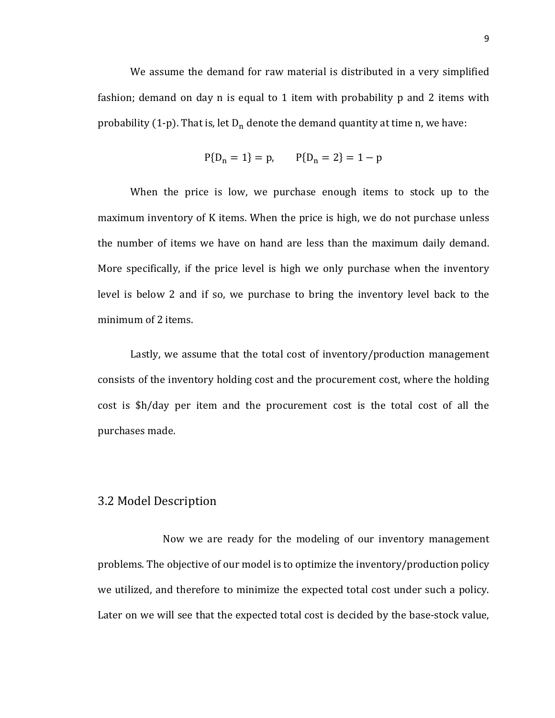We assume the demand for raw material is distributed in a very simplified fashion; demand on day n is equal to 1 item with probability p and 2 items with probability (1-p). That is, let  $D_n$  denote the demand quantity at time n, we have:

$$
P{D_n = 1} = p,
$$
  $P{D_n = 2} = 1 - p$ 

When the price is low, we purchase enough items to stock up to the maximum inventory of K items. When the price is high, we do not purchase unless the number of items we have on hand are less than the maximum daily demand. More specifically, if the price level is high we only purchase when the inventory level is below 2 and if so, we purchase to bring the inventory level back to the minimum of 2 items.

Lastly, we assume that the total cost of inventory/production management consists of the inventory holding cost and the procurement cost, where the holding cost is \$h/day per item and the procurement cost is the total cost of all the purchases made.

#### 3.2 Model Description

Now we are ready for the modeling of our inventory management problems. The objective of our model is to optimize the inventory/production policy we utilized, and therefore to minimize the expected total cost under such a policy. Later on we will see that the expected total cost is decided by the base-stock value,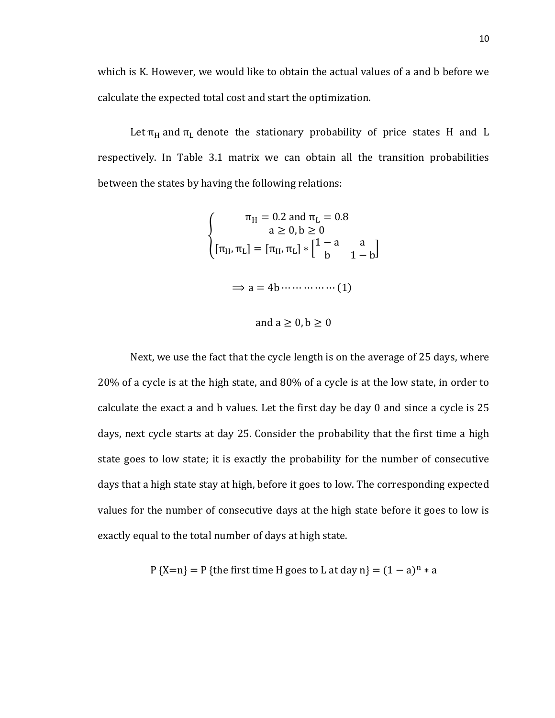which is K. However, we would like to obtain the actual values of a and b before we calculate the expected total cost and start the optimization.

Let  $\pi_H$  and  $\pi_L$  denote the stationary probability of price states H and L respectively. In Table 3.1 matrix we can obtain all the transition probabilities between the states by having the following relations:

$$
\pi_{H} = 0.2 \text{ and } \pi_{L} = 0.8
$$
\n
$$
a \ge 0, b \ge 0
$$
\n
$$
[\pi_{H}, \pi_{L}] = [\pi_{H}, \pi_{L}] * [1 - a \t a \t 1 - b]
$$
\n
$$
\Rightarrow a = 4b \dots \dots \dots \dots \dots (1)
$$

and  $a \geq 0$ ,  $b \geq 0$ 

Next, we use the fact that the cycle length is on the average of 25 days, where 20% of a cycle is at the high state, and 80% of a cycle is at the low state, in order to calculate the exact a and b values. Let the first day be day 0 and since a cycle is 25 days, next cycle starts at day 25. Consider the probability that the first time a high state goes to low state; it is exactly the probability for the number of consecutive days that a high state stay at high, before it goes to low. The corresponding expected values for the number of consecutive days at the high state before it goes to low is exactly equal to the total number of days at high state.

P {X=n} = P {the first time H goes to L at day n} =  $(1 - a)^n * a$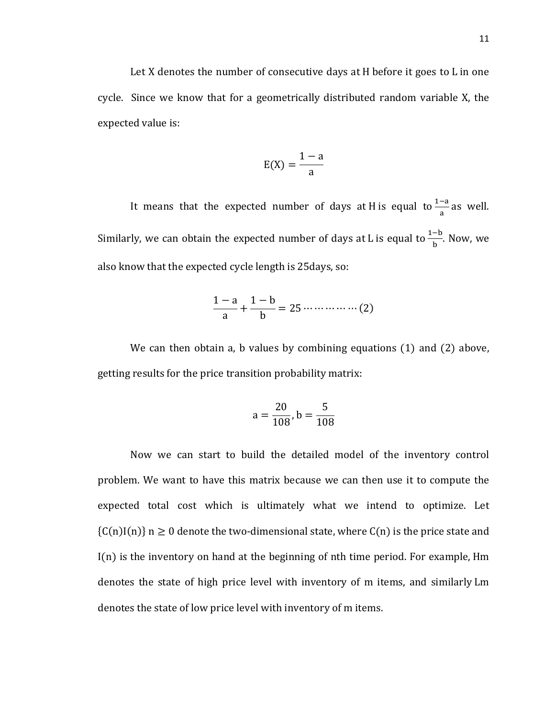Let X denotes the number of consecutive days at H before it goes to L in one cycle. Since we know that for a geometrically distributed random variable X, the expected value is:

$$
E(X) = \frac{1-a}{a}
$$

It means that the expected number of days at H is equal to  $\frac{1-a}{a}$  as well. Similarly, we can obtain the expected number of days at L is equal to  $\frac{1-b}{b}$ . Now, we also know that the expected cycle length is 25days, so:

$$
\frac{1-a}{a} + \frac{1-b}{b} = 25 \dots \dots \dots \dots \dots \dots (2)
$$

We can then obtain a, b values by combining equations (1) and (2) above, getting results for the price transition probability matrix:

$$
a = \frac{20}{108}, b = \frac{5}{108}
$$

Now we can start to build the detailed model of the inventory control problem. We want to have this matrix because we can then use it to compute the expected total cost which is ultimately what we intend to optimize. Let  ${C(n)I(n)}$  n  $\geq 0$  denote the two-dimensional state, where  $C(n)$  is the price state and I(n) is the inventory on hand at the beginning of nth time period. For example, Hm denotes the state of high price level with inventory of m items, and similarly Lm denotes the state of low price level with inventory of m items.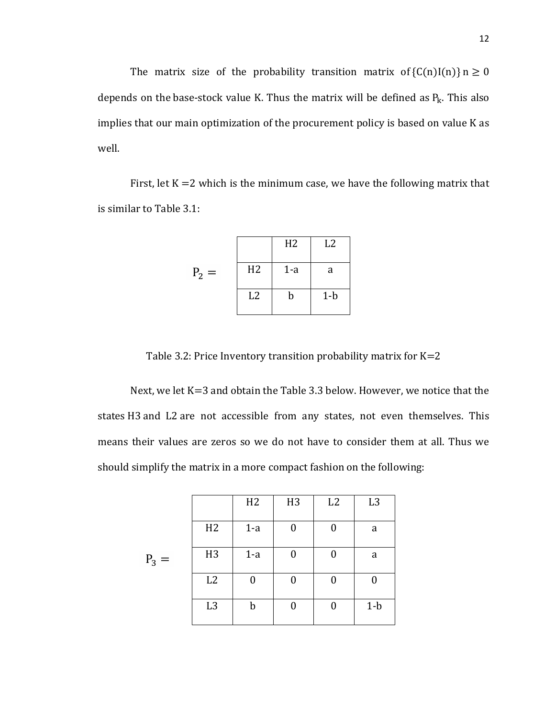The matrix size of the probability transition matrix of  ${C(n)I(n)}$   $n \ge 0$ depends on the base-stock value K. Thus the matrix will be defined as  $P_k$ . This also implies that our main optimization of the procurement policy is based on value K as well.

First, let  $K = 2$  which is the minimum case, we have the following matrix that is similar to Table 3.1:

|         |                | H <sub>2</sub> | L2    |
|---------|----------------|----------------|-------|
| $P_2 =$ | H <sub>2</sub> | $1-a$          | a     |
|         | L2             | b              | $1-b$ |

Table 3.2: Price Inventory transition probability matrix for  $K=2$ 

Next, we let K=3 and obtain the Table 3.3 below. However, we notice that the states H3 and L2 are not accessible from any states, not even themselves. This means their values are zeros so we do not have to consider them at all. Thus we should simplify the matrix in a more compact fashion on the following:

|         |                | H2    | H <sub>3</sub> | L2             | L <sub>3</sub> |
|---------|----------------|-------|----------------|----------------|----------------|
|         | H2             | $1-a$ | 0              | 0              | a              |
| $P_3 =$ | H <sub>3</sub> | $1-a$ | 0              | 0              | a              |
|         | L2             | 0     | 0              |                |                |
|         | L <sub>3</sub> | b     |                | $\overline{0}$ | $1-b$          |
|         |                |       |                |                |                |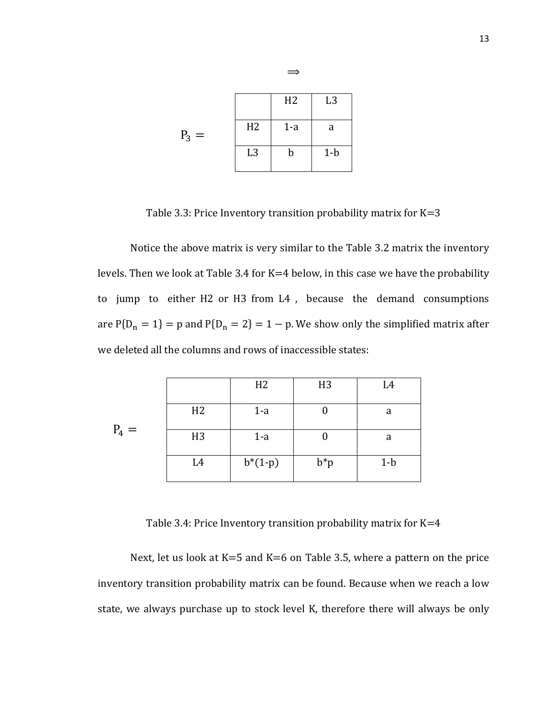|                  |                | H <sub>2</sub> | L <sub>3</sub> |
|------------------|----------------|----------------|----------------|
| $P_3$<br>$\,=\,$ | H <sub>2</sub> | $1-a$          | a              |
|                  | L <sub>3</sub> | b              | $1-b$          |

Table 3.3: Price Inventory transition probability matrix for  $K=3$ 

 $\Rightarrow$ 

Notice the above matrix is very similar to the Table 3.2 matrix the inventory levels. Then we look at Table 3.4 for K=4 below, in this case we have the probability to jump to either H2 or H3 from L4 , because the demand consumptions are  $P{D_n = 1} = p$  and  $P{D_n = 2} = 1 - p$ . We show only the simplified matrix after we deleted all the columns and rows of inaccessible states:

|         |                | H2        | H <sub>3</sub> | L4    |
|---------|----------------|-----------|----------------|-------|
|         | H2             | $1-a$     |                | a     |
| $P_4 =$ | H <sub>3</sub> | $1-a$     |                | a     |
|         | L4             | $b*(1-p)$ | $b^*p$         | $1-b$ |

Table 3.4: Price Inventory transition probability matrix for K=4

Next, let us look at  $K=5$  and  $K=6$  on Table 3.5, where a pattern on the price inventory transition probability matrix can be found. Because when we reach a low state, we always purchase up to stock level K, therefore there will always be only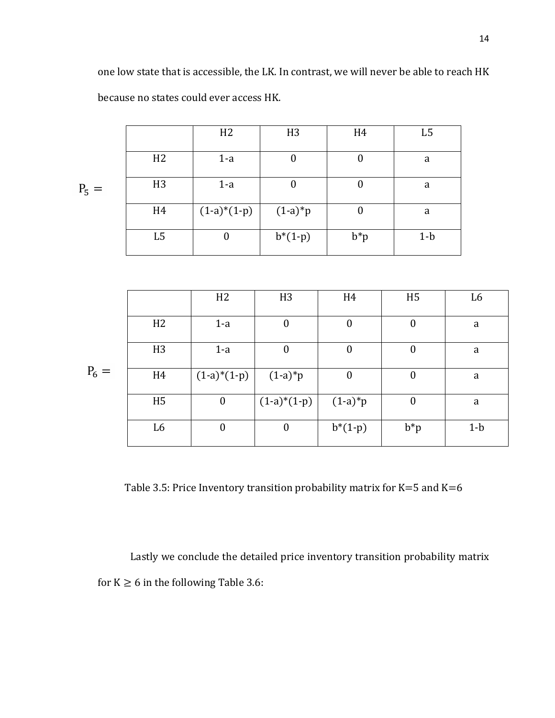|         |                | H2               | H <sub>3</sub> | H <sub>4</sub> | L <sub>5</sub> |
|---------|----------------|------------------|----------------|----------------|----------------|
|         | H2             | $1-a$            |                | 0              | a              |
|         |                |                  |                |                |                |
| $P_5 =$ | H <sub>3</sub> | $1-a$            | 0              |                | a              |
|         |                |                  |                |                |                |
|         | H <sub>4</sub> | $(1-a)*(1-p)$    | $(1-a)*p$      |                | a              |
|         | L <sub>5</sub> | $\boldsymbol{0}$ | $b*(1-p)$      | $b^*p$         | $1-b$          |
|         |                |                  |                |                |                |

|         |                | H2               | H <sub>3</sub>   | H <sub>4</sub>   | H <sub>5</sub>   | L <sub>6</sub> |
|---------|----------------|------------------|------------------|------------------|------------------|----------------|
|         |                |                  |                  |                  |                  |                |
|         | H2             | $1-a$            | $\boldsymbol{0}$ | $\boldsymbol{0}$ | $\boldsymbol{0}$ | a              |
|         |                |                  |                  |                  |                  |                |
|         | H <sub>3</sub> | $1-a$            | $\boldsymbol{0}$ | $\boldsymbol{0}$ | $\boldsymbol{0}$ | a              |
|         |                |                  |                  |                  |                  |                |
| $P_6 =$ | H <sub>4</sub> | $(1-a)*(1-p)$    | $(1-a)*p$        | $\boldsymbol{0}$ | $\boldsymbol{0}$ | a              |
|         |                |                  |                  |                  |                  |                |
|         | H <sub>5</sub> | $\boldsymbol{0}$ | $(1-a)*(1-p)$    | $(1-a)*p$        | $\boldsymbol{0}$ | a              |
|         |                |                  |                  |                  |                  |                |
|         | L6             | $\boldsymbol{0}$ | $\boldsymbol{0}$ | $b*(1-p)$        | $b^*p$           | $1-b$          |
|         |                |                  |                  |                  |                  |                |

Table 3.5: Price Inventory transition probability matrix for K=5 and K=6

Lastly we conclude the detailed price inventory transition probability matrix for  $K \ge 6$  in the following Table 3.6: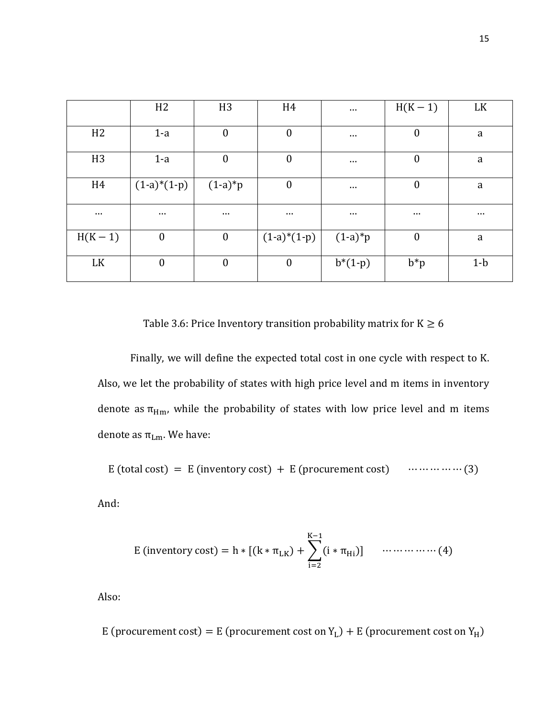|                | H <sub>2</sub>   | H <sub>3</sub>   | H4               | $\cdots$  | $H(K-1)$         | LK       |
|----------------|------------------|------------------|------------------|-----------|------------------|----------|
| H <sub>2</sub> | $1-a$            | $\boldsymbol{0}$ | $\boldsymbol{0}$ | $\cdots$  | $\boldsymbol{0}$ | a        |
| H <sub>3</sub> | $1-a$            | $\overline{0}$   | $\boldsymbol{0}$ | $\cdots$  | $\boldsymbol{0}$ | a        |
| H <sub>4</sub> | $(1-a)*(1-p)$    | $(1-a)*p$        | $\boldsymbol{0}$ | $\cdots$  | $\boldsymbol{0}$ | a        |
| $\cdots$       | $\cdots$         | $\cdots$         | $\cdots$         | $\cdots$  | $\cdots$         | $\cdots$ |
| $H(K-1)$       | $\boldsymbol{0}$ | $\overline{0}$   | $(1-a)*(1-p)$    | $(1-a)*p$ | $\boldsymbol{0}$ | a        |
| LK             | $\boldsymbol{0}$ | $\boldsymbol{0}$ | $\boldsymbol{0}$ | $b*(1-p)$ | $b^*p$           | $1-b$    |

Table 3.6: Price Inventory transition probability matrix for  $K \ge 6$ 

Finally, we will define the expected total cost in one cycle with respect to K. Also, we let the probability of states with high price level and m items in inventory denote as  $\pi_{\text{Hm}}$ , while the probability of states with low price level and m items denote as  $\pi_{Lm}$ . We have:

E (total cost) = E (inventory cost) + E (procurement cost)  $\dots \dots \dots \dots \dots (3)$ 

And:

E (inventory cost) = h \* [(k \* 
$$
\pi_{LK}
$$
) +  $\sum_{i=2}^{K-1} (i * \pi_{Hi})$ ] ... (4)

Also:

E (procurement cost) = E (procurement cost on  $Y_L$ ) + E (procurement cost on  $Y_H$ )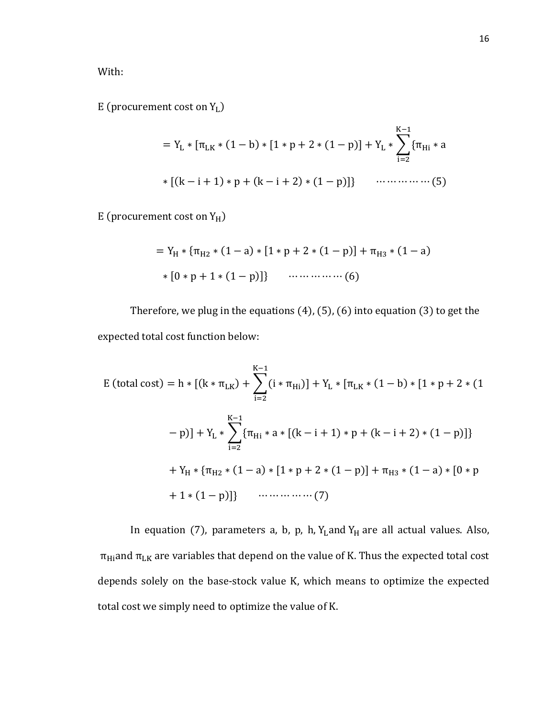With:

E (procurement cost on  $Y_L$ )

$$
= Y_{L} * [\pi_{LK} * (1 - b) * [1 * p + 2 * (1 - p)] + Y_{L} * \sum_{i=2}^{K-1} {\pi_{Hi} * a}
$$
  
 \* [(k - i + 1) \* p + (k - i + 2) \* (1 - p)] } ... (5)

E (procurement cost on  $Y_H$ )

= Y<sup>H</sup> ∗ {πH2 ∗ (1 − a) ∗ [1 ∗ p + 2 ∗ (1 − p)] + πH3 ∗ (1 − a) ∗ [0 ∗ p + 1 ∗ (1 − p)]} ⋯ ⋯ ⋯ ⋯ ⋯ (6)

Therefore, we plug in the equations (4), (5), (6) into equation (3) to get the expected total cost function below:

E (total cost) = h ∗ [(k ∗ πLK) + �(i ∗ πHi K−1 i=2 )] + Y<sup>L</sup> ∗ [πLK ∗ (1 − b) ∗ [1 ∗ p + 2 ∗ (1 − p)] + Y<sup>L</sup> ∗ �{πHi K−1 i=2 ∗ a ∗ [(k − i + 1) ∗ p + (k − i + 2) ∗ (1 − p)]} + Y<sup>H</sup> ∗ {πH2 ∗ (1 − a) ∗ [1 ∗ p + 2 ∗ (1 − p)] + πH3 ∗ (1 − a) ∗ [0 ∗ p + 1 ∗ (1 − p)]} ⋯ ⋯ ⋯ ⋯ ⋯ (7)

In equation (7), parameters a, b, p, h,  $Y_L$ and  $Y_H$  are all actual values. Also,  $\pi_{Hi}$  and  $\pi_{LK}$  are variables that depend on the value of K. Thus the expected total cost depends solely on the base-stock value K, which means to optimize the expected total cost we simply need to optimize the value of K.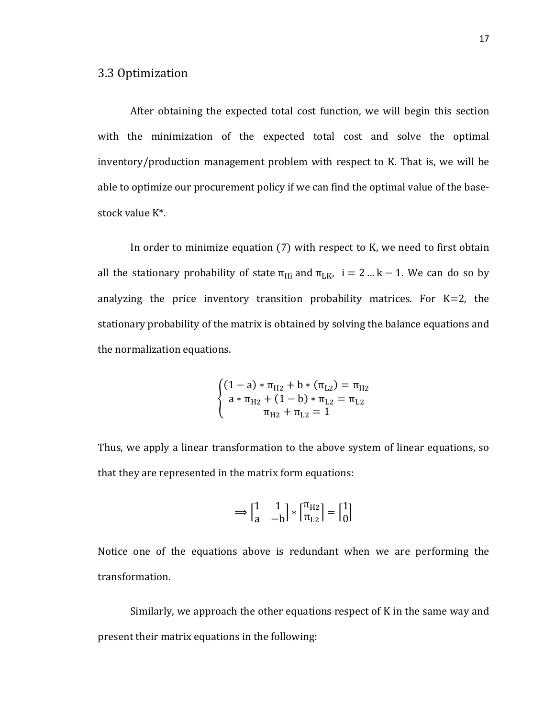After obtaining the expected total cost function, we will begin this section with the minimization of the expected total cost and solve the optimal inventory/production management problem with respect to K. That is, we will be able to optimize our procurement policy if we can find the optimal value of the basestock value K\*.

In order to minimize equation (7) with respect to K, we need to first obtain all the stationary probability of state  $\pi_{Hi}$  and  $\pi_{LK}$ , i = 2 ... k – 1. We can do so by analyzing the price inventory transition probability matrices. For  $K=2$ , the stationary probability of the matrix is obtained by solving the balance equations and the normalization equations.

$$
\begin{cases}\n(1-a) * \pi_{H2} + b * (\pi_{L2}) = \pi_{H2} \\
a * \pi_{H2} + (1-b) * \pi_{L2} = \pi_{L2} \\
\pi_{H2} + \pi_{L2} = 1\n\end{cases}
$$

Thus, we apply a linear transformation to the above system of linear equations, so that they are represented in the matrix form equations:

$$
\Longrightarrow \begin{bmatrix} 1 & 1 \\ a & -b \end{bmatrix} * \begin{bmatrix} \pi_{H2} \\ \pi_{L2} \end{bmatrix} = \begin{bmatrix} 1 \\ 0 \end{bmatrix}
$$

Notice one of the equations above is redundant when we are performing the transformation.

Similarly, we approach the other equations respect of K in the same way and present their matrix equations in the following: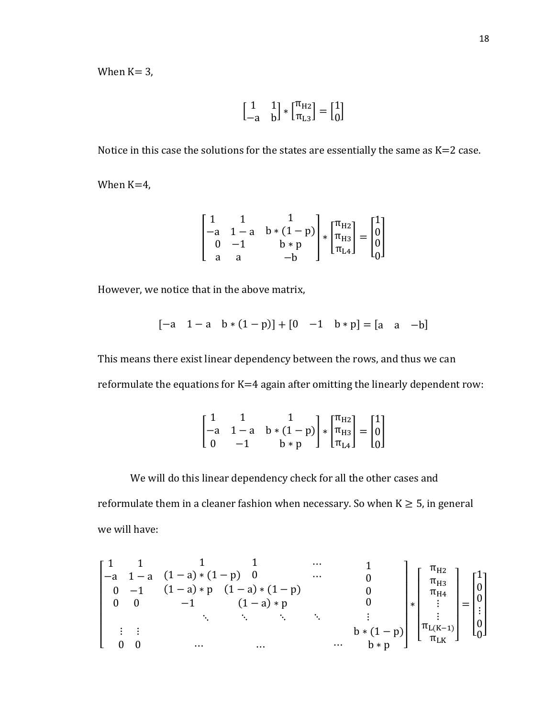When  $K = 3$ ,

$$
\begin{bmatrix} 1 & 1 \ -a & b \end{bmatrix} * \begin{bmatrix} \pi_{H2} \\ \pi_{L3} \end{bmatrix} = \begin{bmatrix} 1 \\ 0 \end{bmatrix}
$$

Notice in this case the solutions for the states are essentially the same as  $K=2$  case.

When K=4,

$$
\begin{bmatrix} 1 & 1 & 1 \ -a & 1-a & b*(1-p) \ 0 & -1 & b*p \ a & a & -b \end{bmatrix} * \begin{bmatrix} \pi_{H2} \\ \pi_{H3} \\ \pi_{L4} \end{bmatrix} = \begin{bmatrix} 1 \\ 0 \\ 0 \\ 0 \end{bmatrix}
$$

However, we notice that in the above matrix,

$$
[-a \quad 1-a \quad b*(1-p)] + [0 \quad -1 \quad b*p] = [a \quad a \quad -b]
$$

This means there exist linear dependency between the rows, and thus we can reformulate the equations for K=4 again after omitting the linearly dependent row:

$$
\begin{bmatrix} 1 & 1 & 1 \ -a & 1-a & b*(1-p) \ 0 & -1 & b*p \end{bmatrix} * \begin{bmatrix} \pi_{H2} \\ \pi_{H3} \\ \pi_{L4} \end{bmatrix} = \begin{bmatrix} 1 \\ 0 \\ 0 \end{bmatrix}
$$

We will do this linear dependency check for all the other cases and reformulate them in a cleaner fashion when necessary. So when  $K \geq 5$ , in general we will have:

$$
\begin{bmatrix} 1 & 1 & 1 & 1 & \cdots & 1 \\ -a & 1-a & (1-a)*(1-p) & 0 & \cdots & 0 \\ 0 & -1 & (1-a)*p & (1-a)*p & 0 \\ 0 & 0 & -1 & (1-a)*p & 0 \\ \vdots & \vdots & & \ddots & \ddots & \vdots \\ 0 & 0 & \cdots & \cdots & \cdots & \cdots & b*p \end{bmatrix}*\begin{bmatrix} \pi_{H2} \\ \pi_{H3} \\ \pi_{H4} \\ \vdots \\ \pi_{L(K-1)} \\ \pi_{LK} \end{bmatrix} = \begin{bmatrix} 1 \\ 0 \\ 0 \\ \vdots \\ 0 \end{bmatrix}
$$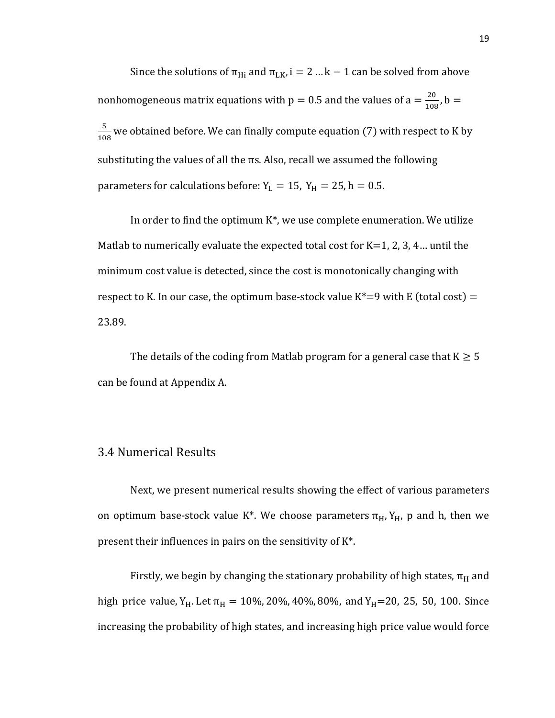Since the solutions of  $\pi_{Hi}$  and  $\pi_{LK}$ , i = 2 ... k – 1 can be solved from above nonhomogeneous matrix equations with  $p = 0.5$  and the values of  $a = \frac{20}{108}$ ,  $b =$ 5  $\frac{1}{108}$  we obtained before. We can finally compute equation (7) with respect to K by substituting the values of all the  $\pi s$ . Also, recall we assumed the following parameters for calculations before:  $Y_L = 15$ ,  $Y_H = 25$ , h = 0.5.

In order to find the optimum  $K^*$ , we use complete enumeration. We utilize Matlab to numerically evaluate the expected total cost for  $K=1, 2, 3, 4...$  until the minimum cost value is detected, since the cost is monotonically changing with respect to K. In our case, the optimum base-stock value  $K^*=9$  with E (total cost) = 23.89.

The details of the coding from Matlab program for a general case that  $K \geq 5$ can be found at Appendix A.

#### 3.4 Numerical Results

Next, we present numerical results showing the effect of various parameters on optimum base-stock value K<sup>\*</sup>. We choose parameters  $\pi_H$ ,  $Y_H$ , p and h, then we present their influences in pairs on the sensitivity of K\*.

Firstly, we begin by changing the stationary probability of high states,  $\pi_H$  and high price value, Y<sub>H</sub>. Let  $\pi_H = 10\%$ , 20%, 40%, 80%, and Y<sub>H</sub>=20, 25, 50, 100. Since increasing the probability of high states, and increasing high price value would force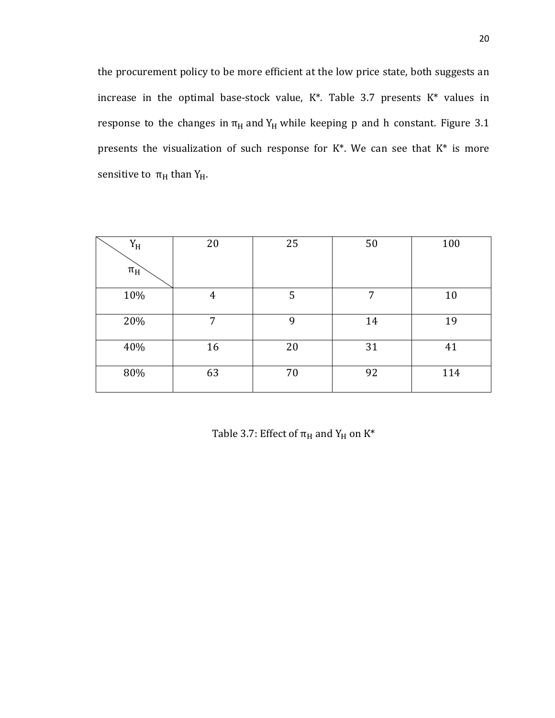the procurement policy to be more efficient at the low price state, both suggests an increase in the optimal base-stock value, K\*. Table 3.7 presents K\* values in response to the changes in  $\pi_H$  and Y<sub>H</sub> while keeping p and h constant. Figure 3.1 presents the visualization of such response for  $K^*$ . We can see that  $K^*$  is more sensitive to  $\pi_H$  than Y<sub>H</sub>.

| ${\rm Y}_{\rm H}$ | 20 | 25 | 50 | 100 |
|-------------------|----|----|----|-----|
| $\pi_H$           |    |    |    |     |
| 10%               | 4  | 5  | 7  | 10  |
| 20%               | 7  | 9  | 14 | 19  |
| 40%               | 16 | 20 | 31 | 41  |
| 80%               | 63 | 70 | 92 | 114 |

Table 3.7: Effect of  $\pi_H$  and  $Y_H$  on  $K^*$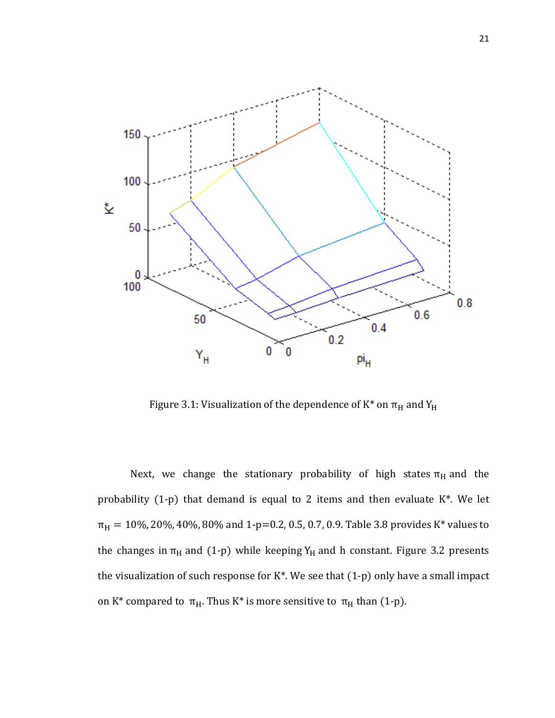

Figure 3.1: Visualization of the dependence of  $K^*$  on  $\pi_H$  and  $Y_H$ 

Next, we change the stationary probability of high states  $\pi_H$  and the probability (1-p) that demand is equal to 2 items and then evaluate K\*. We let  $\pi_H = 10\%$ , 20%, 40%, 80% and 1-p=0.2, 0.5, 0.7, 0.9. Table 3.8 provides K\* values to the changes in  $\pi_H$  and (1-p) while keeping Y<sub>H</sub> and h constant. Figure 3.2 presents the visualization of such response for K\*. We see that (1-p) only have a small impact on K\* compared to  $\pi_H$ . Thus K\* is more sensitive to  $\pi_H$  than (1-p).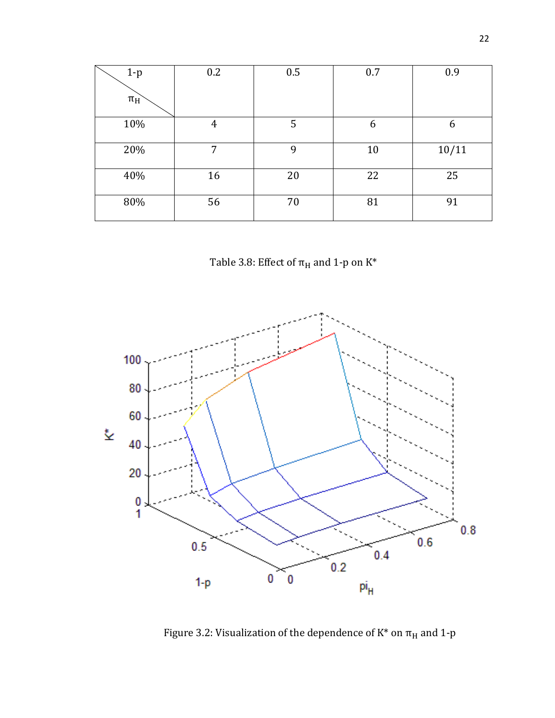| $1-p$   | 0.2 | 0.5 | 0.7 | 0.9   |
|---------|-----|-----|-----|-------|
| $\pi_H$ |     |     |     |       |
| 10%     | 4   | 5   | 6   | 6     |
| 20%     | 7   | 9   | 10  | 10/11 |
| 40%     | 16  | 20  | 22  | 25    |
| 80%     | 56  | 70  | 81  | 91    |





Figure 3.2: Visualization of the dependence of  $\mathrm{K}^*$  on  $\pi_\mathrm{H}$  and 1-p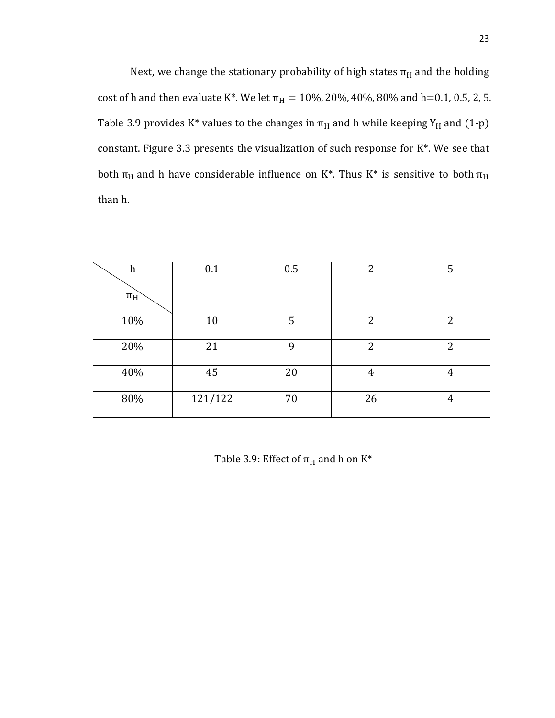Next, we change the stationary probability of high states  $\pi_H$  and the holding cost of h and then evaluate K\*. We let  $\pi_H = 10\%$ , 20%, 40%, 80% and h=0.1, 0.5, 2, 5. Table 3.9 provides K\* values to the changes in  $\pi_H$  and h while keeping Y<sub>H</sub> and (1-p) constant. Figure 3.3 presents the visualization of such response for K\*. We see that both  $\pi_H$  and h have considerable influence on K\*. Thus K\* is sensitive to both  $\pi_H$ than h.

| $\boldsymbol{h}$ | 0.1     | 0.5 | 2  | 5              |
|------------------|---------|-----|----|----------------|
| $\pi_H$          |         |     |    |                |
| 10%              | 10      | 5   | 2  | $\overline{2}$ |
| 20%              | 21      | 9   | 2  | $\overline{2}$ |
| 40%              | 45      | 20  | 4  | 4              |
| 80%              | 121/122 | 70  | 26 | 4              |

Table 3.9: Effect of  $\pi_H$  and h on K\*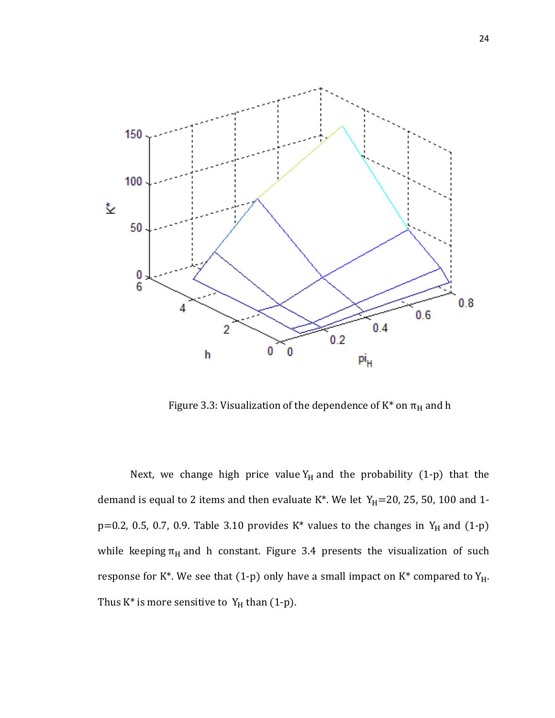

Figure 3.3: Visualization of the dependence of  $K^*$  on  $\pi_H$  and h

Next, we change high price value  $Y_H$  and the probability (1-p) that the demand is equal to 2 items and then evaluate K\*. We let  $Y_H$ =20, 25, 50, 100 and 1 $p=0.2$ , 0.5, 0.7, 0.9. Table 3.10 provides K\* values to the changes in Y<sub>H</sub> and (1-p) while keeping  $\pi_H$  and h constant. Figure 3.4 presents the visualization of such response for K\*. We see that (1-p) only have a small impact on K\* compared to  $Y_H$ . Thus  $K^*$  is more sensitive to  $Y_H$  than (1-p).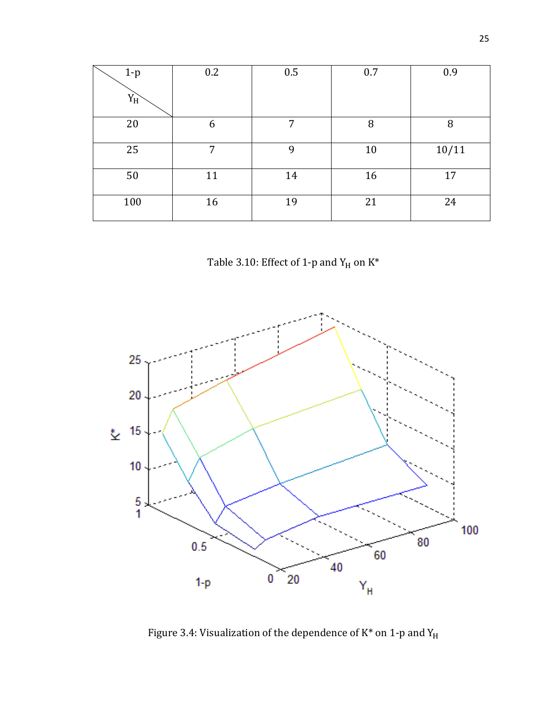| $1-p$ | 0.2 | 0.5 | 0.7 | 0.9   |
|-------|-----|-----|-----|-------|
| $Y_H$ |     |     |     |       |
| 20    | 6   | 7   | 8   | 8     |
| 25    | 7   | 9   | 10  | 10/11 |
| 50    | 11  | 14  | 16  | 17    |
| 100   | 16  | 19  | 21  | 24    |

Table 3.10: Effect of 1-p and  $\rm Y_{H}$  on  $\rm K^*$ 



Figure 3.4: Visualization of the dependence of  $\mathrm{K}^*$  on 1-p and  $\mathrm{Y}_\mathrm{H}$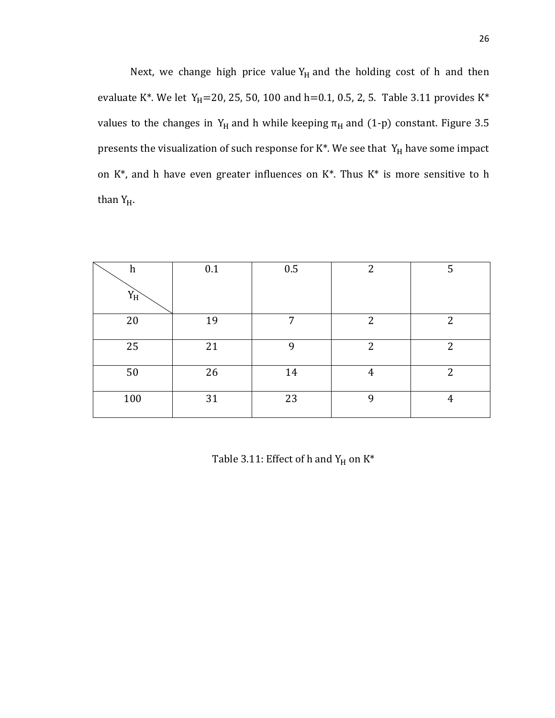Next, we change high price value  $Y_H$  and the holding cost of h and then evaluate K\*. We let Y<sub>H</sub>=20, 25, 50, 100 and h=0.1, 0.5, 2, 5. Table 3.11 provides K\* values to the changes in  $Y_H$  and h while keeping  $\pi_H$  and (1-p) constant. Figure 3.5 presents the visualization of such response for  $K^*$ . We see that  $Y_H$  have some impact on K\*, and h have even greater influences on K\*. Thus K\* is more sensitive to h than  $Y_H$ .

| $\boldsymbol{h}$ | 0.1 | 0.5 | $\overline{2}$ | 5              |
|------------------|-----|-----|----------------|----------------|
| $Y_H$            |     |     |                |                |
| 20               | 19  | 7   | $\overline{2}$ | $\overline{2}$ |
| 25               | 21  | 9   | 2              | $\overline{2}$ |
| 50               | 26  | 14  | 4              | $\overline{2}$ |
| 100              | 31  | 23  | 9              | 4              |

Table 3.11: Effect of h and  $Y_H$  on  $K^*$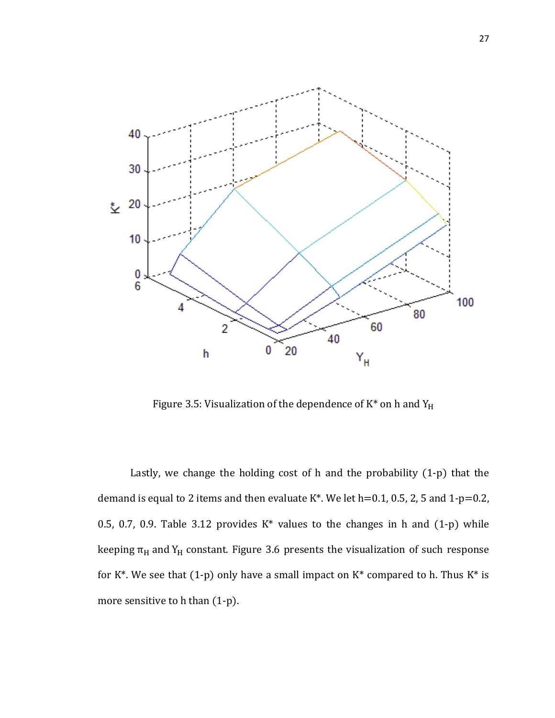

Figure 3.5: Visualization of the dependence of  $K^*$  on h and  $Y_H$ 

Lastly, we change the holding cost of h and the probability (1-p) that the demand is equal to 2 items and then evaluate  $K^*$ . We let h=0.1, 0.5, 2, 5 and 1-p=0.2, 0.5, 0.7, 0.9. Table 3.12 provides  $K^*$  values to the changes in h and  $(1-p)$  while keeping  $\pi_H$  and Y<sub>H</sub> constant. Figure 3.6 presents the visualization of such response for  $K^*$ . We see that (1-p) only have a small impact on  $K^*$  compared to h. Thus  $K^*$  is more sensitive to h than (1-p).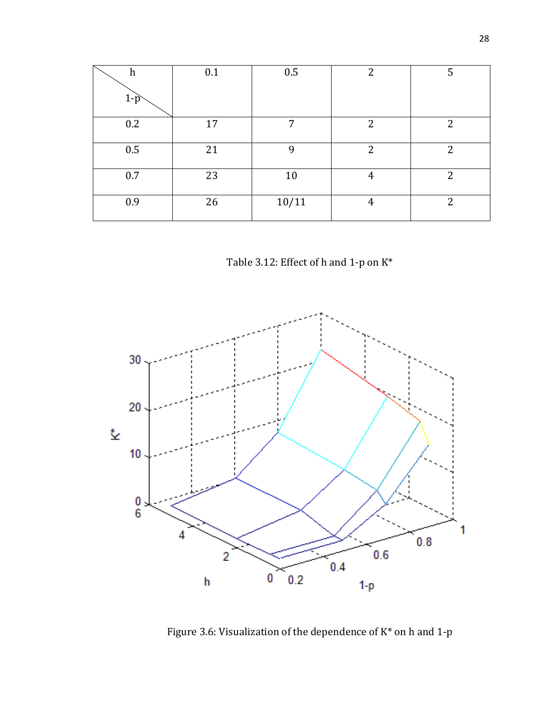| $\boldsymbol{h}$<br>$1-p$ | 0.1 | 0.5   | $\overline{2}$ | 5              |
|---------------------------|-----|-------|----------------|----------------|
| 0.2                       | 17  | 7     | $\overline{2}$ | $\overline{2}$ |
| 0.5                       | 21  | 9     | $\overline{2}$ | $\overline{2}$ |
| 0.7                       | 23  | 10    | 4              | $\overline{2}$ |
| 0.9                       | 26  | 10/11 | 4              | 2              |

Table 3.12: Effect of h and 1-p on K\*



Figure 3.6: Visualization of the dependence of K\* on h and 1-p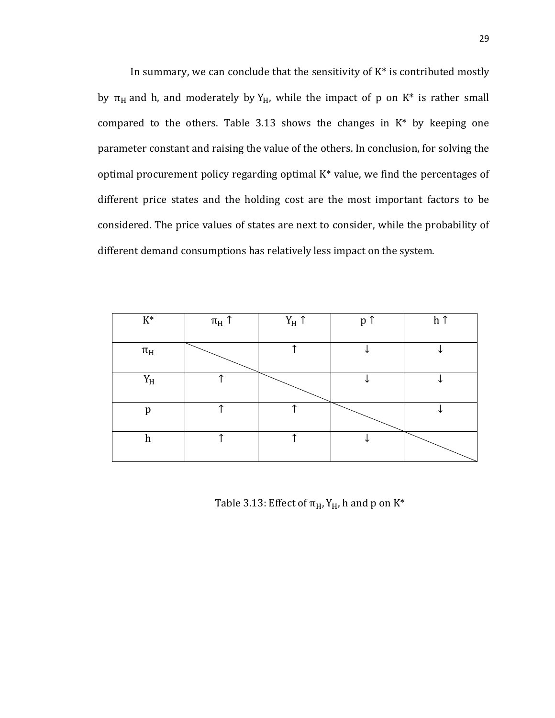In summary, we can conclude that the sensitivity of  $K^*$  is contributed mostly by  $\pi_H$  and h, and moderately by  $Y_H$ , while the impact of p on K\* is rather small compared to the others. Table 3.13 shows the changes in K\* by keeping one parameter constant and raising the value of the others. In conclusion, for solving the optimal procurement policy regarding optimal K\* value, we find the percentages of different price states and the holding cost are the most important factors to be considered. The price values of states are next to consider, while the probability of different demand consumptions has relatively less impact on the system.

| $\mathrm{K}^*$    | $\pi_H$ ↑ | $\mathbf{Y}_{\mathrm{H}}$ $\uparrow$ | p ↑ | h ↑ |
|-------------------|-----------|--------------------------------------|-----|-----|
| $\pi_H$           |           |                                      |     |     |
| ${\rm Y}_{\rm H}$ |           |                                      |     |     |
| p                 |           |                                      |     |     |
| h                 |           |                                      |     |     |

Table 3.13: Effect of  $\pi_H$ ,  $Y_H$ , h and p on  $K^*$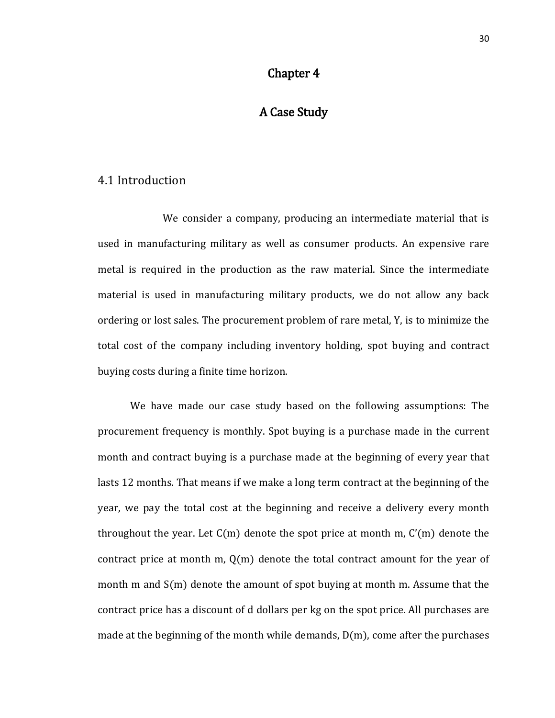#### Chapter 4

## A Case Study

#### 4.1 Introduction

We consider a company, producing an intermediate material that is used in manufacturing military as well as consumer products. An expensive rare metal is required in the production as the raw material. Since the intermediate material is used in manufacturing military products, we do not allow any back ordering or lost sales. The procurement problem of rare metal, Y, is to minimize the total cost of the company including inventory holding, spot buying and contract buying costs during a finite time horizon.

We have made our case study based on the following assumptions: The procurement frequency is monthly. Spot buying is a purchase made in the current month and contract buying is a purchase made at the beginning of every year that lasts 12 months. That means if we make a long term contract at the beginning of the year, we pay the total cost at the beginning and receive a delivery every month throughout the year. Let  $C(m)$  denote the spot price at month m,  $C'(m)$  denote the contract price at month m,  $O(m)$  denote the total contract amount for the year of month m and S(m) denote the amount of spot buying at month m. Assume that the contract price has a discount of d dollars per kg on the spot price. All purchases are made at the beginning of the month while demands,  $D(m)$ , come after the purchases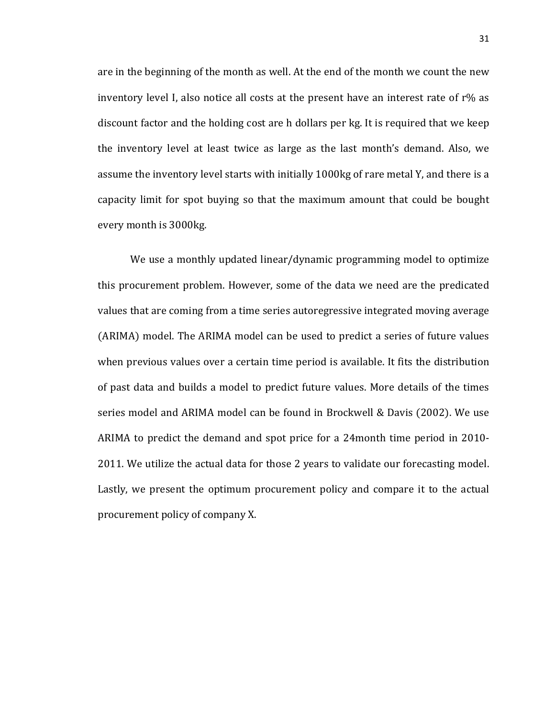are in the beginning of the month as well. At the end of the month we count the new inventory level I, also notice all costs at the present have an interest rate of r% as discount factor and the holding cost are h dollars per kg. It is required that we keep the inventory level at least twice as large as the last month's demand. Also, we assume the inventory level starts with initially 1000kg of rare metal Y, and there is a capacity limit for spot buying so that the maximum amount that could be bought every month is 3000kg.

We use a monthly updated linear/dynamic programming model to optimize this procurement problem. However, some of the data we need are the predicated values that are coming from a time series autoregressive integrated moving average (ARIMA) model. The ARIMA model can be used to predict a series of future values when previous values over a certain time period is available. It fits the distribution of past data and builds a model to predict future values. More details of the times series model and ARIMA model can be found in Brockwell & Davis (2002). We use ARIMA to predict the demand and spot price for a 24month time period in 2010- 2011. We utilize the actual data for those 2 years to validate our forecasting model. Lastly, we present the optimum procurement policy and compare it to the actual procurement policy of company X.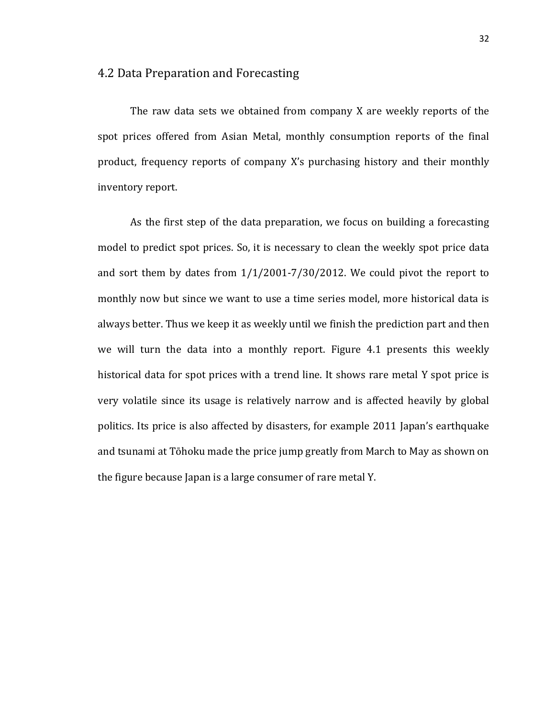#### 4.2 Data Preparation and Forecasting

The raw data sets we obtained from company X are weekly reports of the spot prices offered from Asian Metal, monthly consumption reports of the final product, frequency reports of company X's purchasing history and their monthly inventory report.

As the first step of the data preparation, we focus on building a forecasting model to predict spot prices. So, it is necessary to clean the weekly spot price data and sort them by dates from 1/1/2001-7/30/2012. We could pivot the report to monthly now but since we want to use a time series model, more historical data is always better. Thus we keep it as weekly until we finish the prediction part and then we will turn the data into a monthly report. Figure 4.1 presents this weekly historical data for spot prices with a trend line. It shows rare metal Y spot price is very volatile since its usage is relatively narrow and is affected heavily by global politics. Its price is also affected by disasters, for example 2011 Japan's earthquake and tsunami at Tōhoku made the price jump greatly from March to May as shown on the figure because Japan is a large consumer of rare metal Y.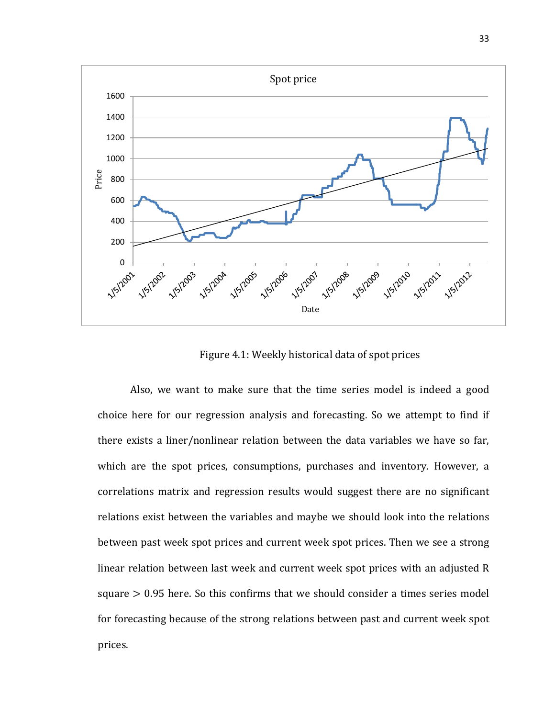

Figure 4.1: Weekly historical data of spot prices

Also, we want to make sure that the time series model is indeed a good choice here for our regression analysis and forecasting. So we attempt to find if there exists a liner/nonlinear relation between the data variables we have so far, which are the spot prices, consumptions, purchases and inventory. However, a correlations matrix and regression results would suggest there are no significant relations exist between the variables and maybe we should look into the relations between past week spot prices and current week spot prices. Then we see a strong linear relation between last week and current week spot prices with an adjusted R square > 0.95 here. So this confirms that we should consider a times series model for forecasting because of the strong relations between past and current week spot prices.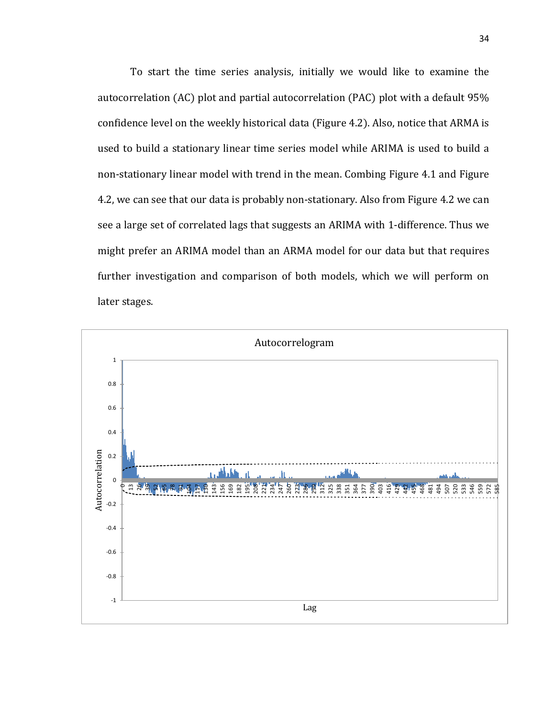To start the time series analysis, initially we would like to examine the autocorrelation (AC) plot and partial autocorrelation (PAC) plot with a default 95% confidence level on the weekly historical data (Figure 4.2). Also, notice that ARMA is used to build a stationary linear time series model while ARIMA is used to build a non-stationary linear model with trend in the mean. Combing Figure 4.1 and Figure 4.2, we can see that our data is probably non-stationary. Also from Figure 4.2 we can see a large set of correlated lags that suggests an ARIMA with 1-difference. Thus we might prefer an ARIMA model than an ARMA model for our data but that requires further investigation and comparison of both models, which we will perform on later stages.

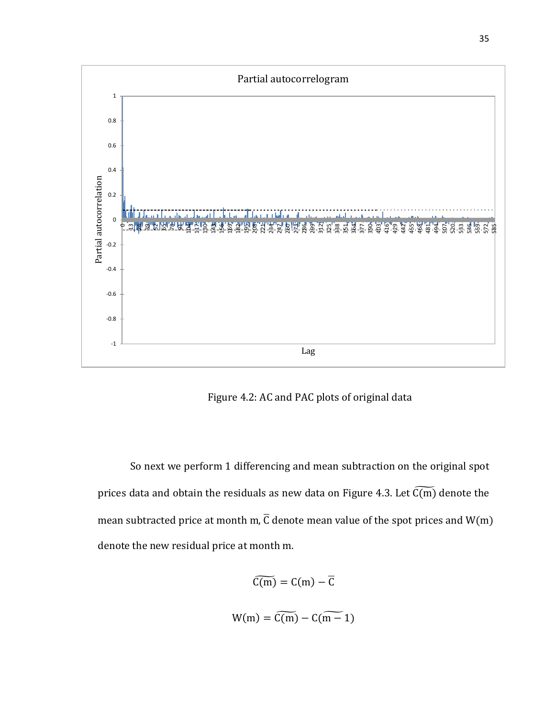

Figure 4.2: AC and PAC plots of original data

So next we perform 1 differencing and mean subtraction on the original spot prices data and obtain the residuals as new data on Figure 4.3. Let  $\widetilde{\mathsf{C}(\mathsf{m})}$  denote the mean subtracted price at month m,  $\overline{C}$  denote mean value of the spot prices and W(m) denote the new residual price at month m.

$$
\widetilde{C(m)} = C(m) - \overline{C}
$$

$$
W(m) = \widetilde{C(m)} - C(\widetilde{m-1})
$$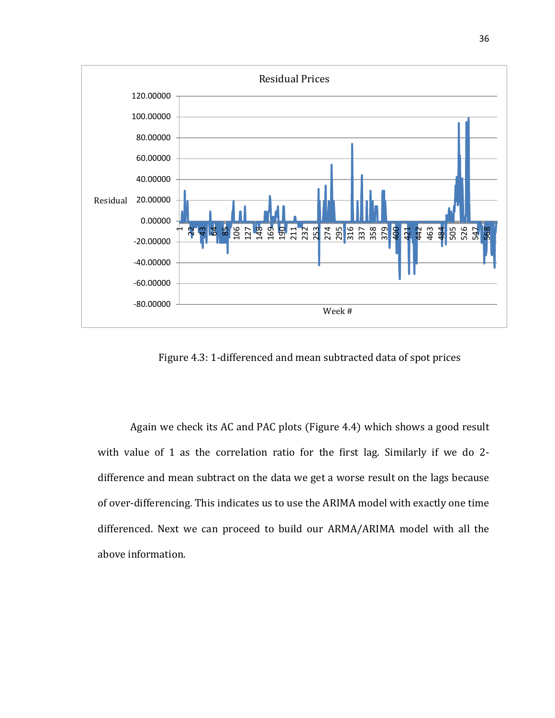

Figure 4.3: 1-differenced and mean subtracted data of spot prices

Again we check its AC and PAC plots (Figure 4.4) which shows a good result with value of 1 as the correlation ratio for the first lag. Similarly if we do 2 difference and mean subtract on the data we get a worse result on the lags because of over-differencing. This indicates us to use the ARIMA model with exactly one time differenced. Next we can proceed to build our ARMA/ARIMA model with all the above information.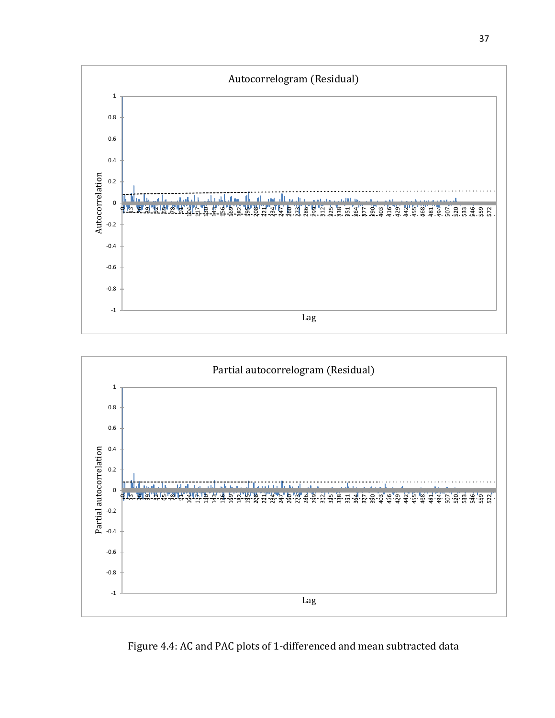



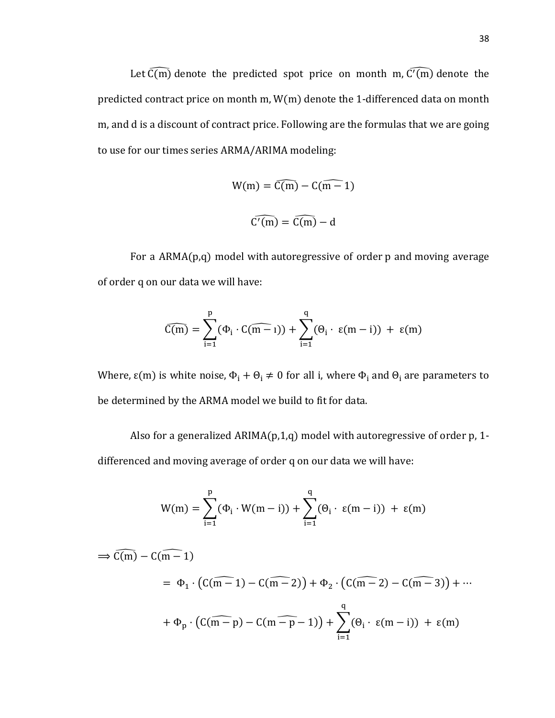Let  $\overline{C(m)}$  denote the predicted spot price on month m,  $\overline{C'(m)}$  denote the predicted contract price on month m, W(m) denote the 1-differenced data on month m, and d is a discount of contract price. Following are the formulas that we are going to use for our times series ARMA/ARIMA modeling:

$$
W(m) = \widehat{C(m)} - C(\widehat{m-1})
$$

$$
\widehat{C'(m)} = \widehat{C(m)} - d
$$

For a ARMA(p,q) model with autoregressive of order p and moving average of order q on our data we will have:

$$
\widehat{C(m)} = \sum_{i=1}^{p} (\Phi_i \cdot \widehat{C(m-1)}) + \sum_{i=1}^{q} (\Theta_i \cdot \epsilon(m-i)) + \epsilon(m)
$$

Where,  $\varepsilon$ (m) is white noise,  $\Phi_i + \Theta_i \neq 0$  for all i, where  $\Phi_i$  and  $\Theta_i$  are parameters to be determined by the ARMA model we build to fit for data.

Also for a generalized  $ARIMA(p,1,q)$  model with autoregressive of order p, 1differenced and moving average of order q on our data we will have:

$$
W(m) = \sum_{i=1}^{p} (\Phi_i \cdot W(m-i)) + \sum_{i=1}^{q} (\Theta_i \cdot \varepsilon(m-i)) + \varepsilon(m)
$$

 $\Rightarrow$  C(m) – C(m – 1)  $= \Phi_1 \cdot (C(m-1) - C(m-2)) + \Phi_2 \cdot (C(m-2) - C(m-3)) + \cdots$  $+ \Phi_{p} \cdot (C(\overline{m-p}) - C(m-p-1)) + \sum_{i=1}^{n} (\Theta_{i}$ q  $i=1$ · ε(m − i)) + ε(m)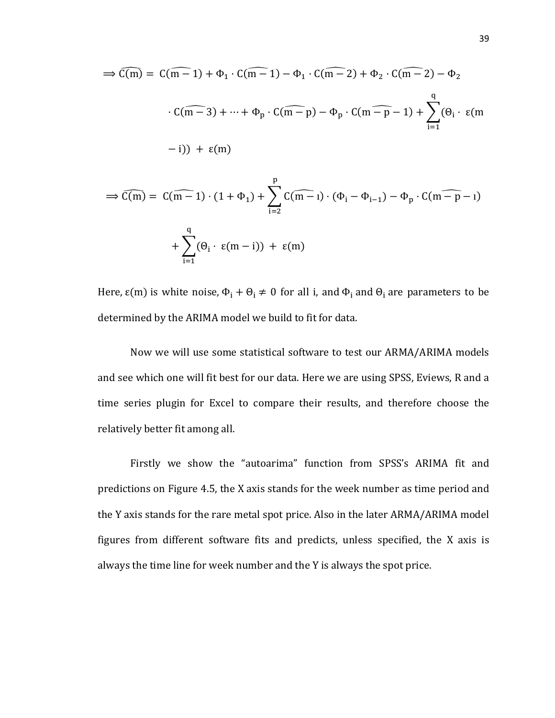$$
\Rightarrow \widehat{C(m)} = C(\widehat{m-1}) + \Phi_1 \cdot C(\widehat{m-1}) - \Phi_1 \cdot C(\widehat{m-2}) + \Phi_2 \cdot C(\widehat{m-2}) - \Phi_2
$$
  

$$
\cdot C(\widehat{m-3}) + \dots + \Phi_p \cdot C(\widehat{m-p}) - \Phi_p \cdot C(\widehat{m-p-1}) + \sum_{i=1}^q (\Theta_i \cdot \epsilon(m-1))
$$
  

$$
-i) + \epsilon(m)
$$

$$
\Rightarrow \widehat{C(m)} = \widehat{C(m-1)} \cdot (1+\Phi_1) + \sum_{i=2}^{r} \widehat{C(m-i)} \cdot (\Phi_i - \Phi_{i-1}) - \Phi_p \cdot \widehat{C(m-p-i)}
$$

$$
+ \sum_{i=1}^{q} (\Theta_i \cdot \epsilon(m-i)) + \epsilon(m)
$$

Here,  $\varepsilon$ (m) is white noise,  $\Phi_i + \Theta_i \neq 0$  for all i, and  $\Phi_i$  and  $\Theta_i$  are parameters to be determined by the ARIMA model we build to fit for data.

Now we will use some statistical software to test our ARMA/ARIMA models and see which one will fit best for our data. Here we are using SPSS, Eviews, R and a time series plugin for Excel to compare their results, and therefore choose the relatively better fit among all.

Firstly we show the "autoarima" function from SPSS's ARIMA fit and predictions on Figure 4.5, the X axis stands for the week number as time period and the Y axis stands for the rare metal spot price. Also in the later ARMA/ARIMA model figures from different software fits and predicts, unless specified, the X axis is always the time line for week number and the Y is always the spot price.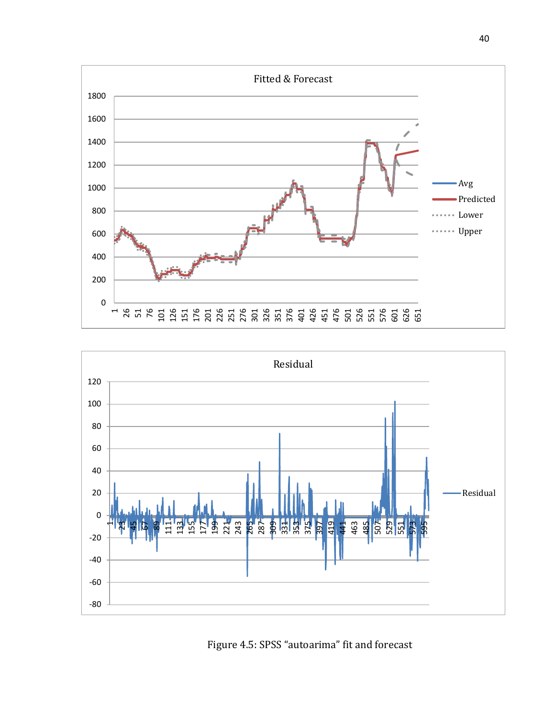



Figure 4.5: SPSS "autoarima" fit and forecast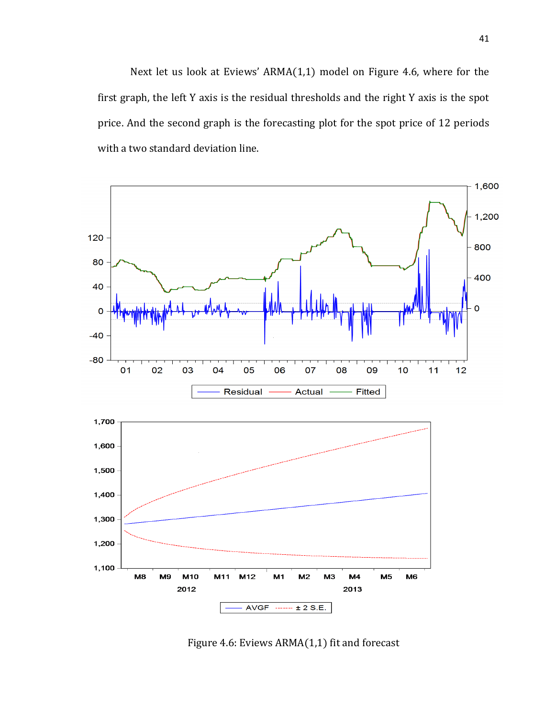Next let us look at Eviews' ARMA(1,1) model on Figure 4.6, where for the first graph, the left Y axis is the residual thresholds and the right Y axis is the spot price. And the second graph is the forecasting plot for the spot price of 12 periods with a two standard deviation line.



Figure 4.6: Eviews ARMA(1,1) fit and forecast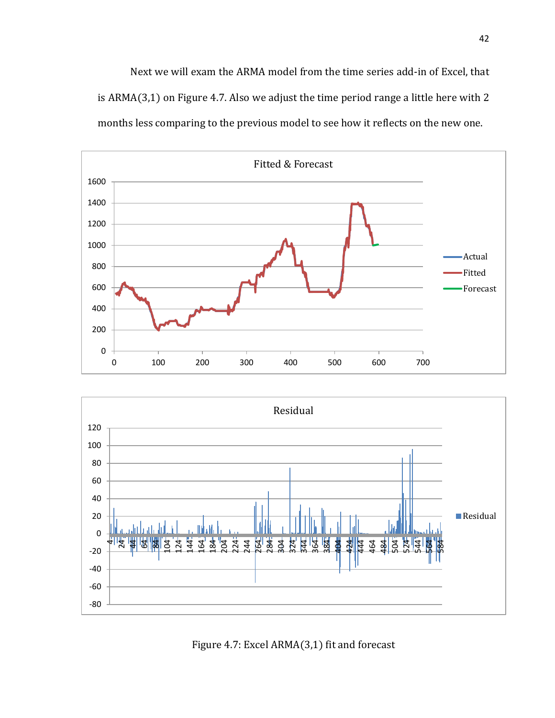Next we will exam the ARMA model from the time series add-in of Excel, that is ARMA(3,1) on Figure 4.7. Also we adjust the time period range a little here with 2 months less comparing to the previous model to see how it reflects on the new one.





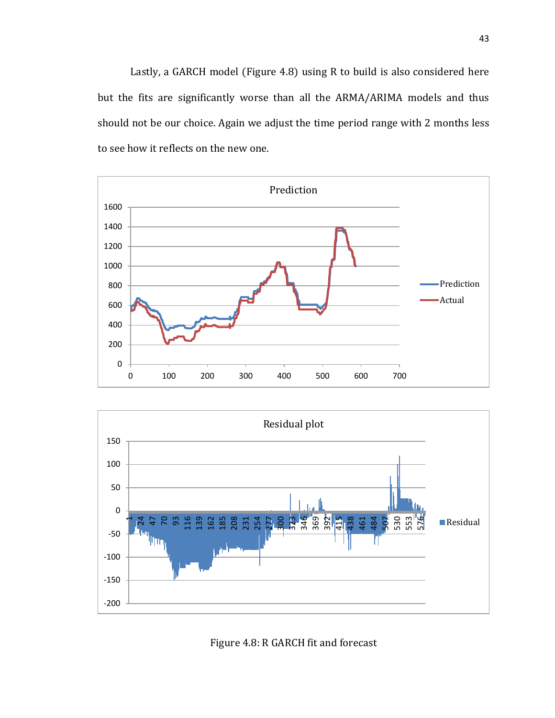Lastly, a GARCH model (Figure 4.8) using R to build is also considered here but the fits are significantly worse than all the ARMA/ARIMA models and thus should not be our choice. Again we adjust the time period range with 2 months less to see how it reflects on the new one.





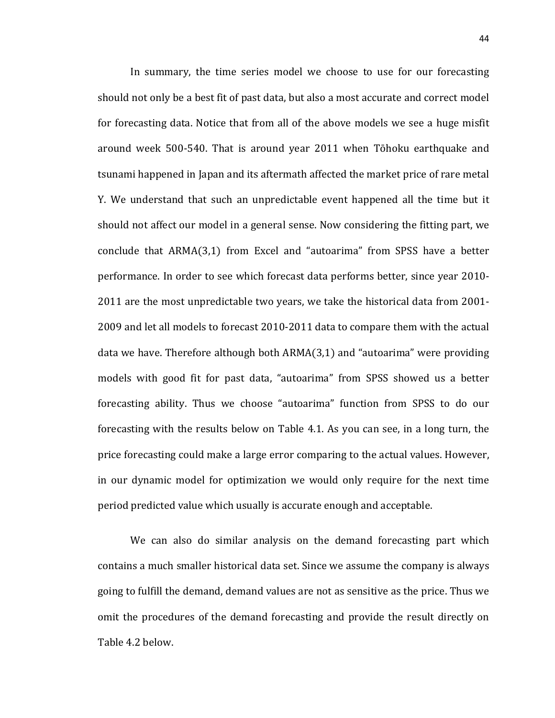In summary, the time series model we choose to use for our forecasting should not only be a best fit of past data, but also a most accurate and correct model for forecasting data. Notice that from all of the above models we see a huge misfit around week 500-540. That is around year 2011 when Tōhoku earthquake and tsunami happened in Japan and its aftermath affected the market price of rare metal Y. We understand that such an unpredictable event happened all the time but it should not affect our model in a general sense. Now considering the fitting part, we conclude that ARMA(3,1) from Excel and "autoarima" from SPSS have a better performance. In order to see which forecast data performs better, since year 2010- 2011 are the most unpredictable two years, we take the historical data from 2001- 2009 and let all models to forecast 2010-2011 data to compare them with the actual data we have. Therefore although both ARMA(3,1) and "autoarima" were providing models with good fit for past data, "autoarima" from SPSS showed us a better forecasting ability. Thus we choose "autoarima" function from SPSS to do our forecasting with the results below on Table 4.1. As you can see, in a long turn, the price forecasting could make a large error comparing to the actual values. However, in our dynamic model for optimization we would only require for the next time period predicted value which usually is accurate enough and acceptable.

We can also do similar analysis on the demand forecasting part which contains a much smaller historical data set. Since we assume the company is always going to fulfill the demand, demand values are not as sensitive as the price. Thus we omit the procedures of the demand forecasting and provide the result directly on Table 4.2 below.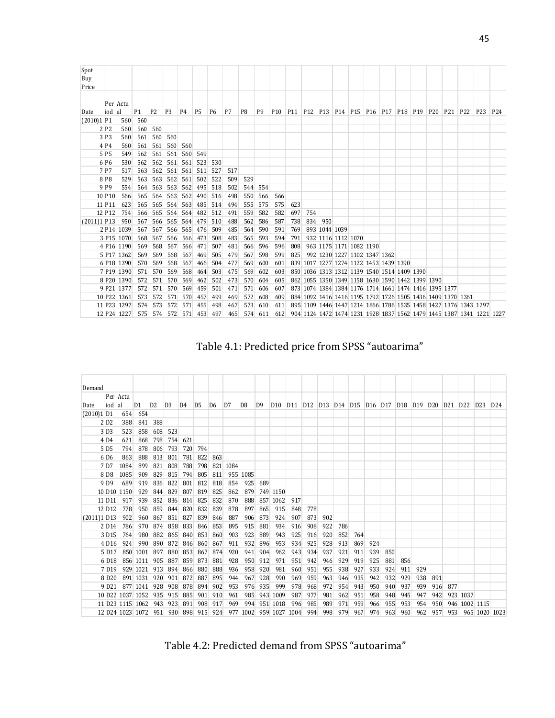| Spot<br>Buy<br>Price |                    |             |                |                |                |     |                |                |     |                |                |                 |     |     |                    |                                                                       |  |  |  |                                                                 |                                                                      |                 |
|----------------------|--------------------|-------------|----------------|----------------|----------------|-----|----------------|----------------|-----|----------------|----------------|-----------------|-----|-----|--------------------|-----------------------------------------------------------------------|--|--|--|-----------------------------------------------------------------|----------------------------------------------------------------------|-----------------|
|                      |                    | Per Actu    |                |                |                |     |                |                |     |                |                |                 |     |     |                    |                                                                       |  |  |  |                                                                 |                                                                      |                 |
| Date                 | iod al             |             | P <sub>1</sub> | P <sub>2</sub> | P <sub>3</sub> | P4  | P <sub>5</sub> | P <sub>6</sub> | P7  | P <sub>8</sub> | P <sub>9</sub> | P <sub>10</sub> |     |     |                    | P11   P12   P13   P14   P15   P16   P17   P18   P19   P20   P21   P22 |  |  |  |                                                                 | P <sub>23</sub>                                                      | P <sub>24</sub> |
| $(2010)1$ P1         |                    | 560         | 560            |                |                |     |                |                |     |                |                |                 |     |     |                    |                                                                       |  |  |  |                                                                 |                                                                      |                 |
|                      | 2 P <sub>2</sub>   | 560         | 560            | 560            |                |     |                |                |     |                |                |                 |     |     |                    |                                                                       |  |  |  |                                                                 |                                                                      |                 |
|                      | 3 P <sub>3</sub>   | 560         | 561            | 560            | 560            |     |                |                |     |                |                |                 |     |     |                    |                                                                       |  |  |  |                                                                 |                                                                      |                 |
|                      | 4 <sub>P4</sub>    | 560         | 561            | 561            | 560            | 560 |                |                |     |                |                |                 |     |     |                    |                                                                       |  |  |  |                                                                 |                                                                      |                 |
|                      | 5 P <sub>5</sub>   | 549         | 562            | 561            | 561            | 560 | 549            |                |     |                |                |                 |     |     |                    |                                                                       |  |  |  |                                                                 |                                                                      |                 |
|                      | 6 P <sub>6</sub>   | 530         | 562            | 562            | 561            | 561 | 523            | 530            |     |                |                |                 |     |     |                    |                                                                       |  |  |  |                                                                 |                                                                      |                 |
|                      | 7 P7               | 517         | 563            | 562            | 561            |     | 561 511        | 527            | 517 |                |                |                 |     |     |                    |                                                                       |  |  |  |                                                                 |                                                                      |                 |
|                      | 8 <sub>P8</sub>    | 529         | 563            | 563            | 562            | 561 | 502            | 522            | 509 | 529            |                |                 |     |     |                    |                                                                       |  |  |  |                                                                 |                                                                      |                 |
|                      | 9 <sub>P9</sub>    | 554         | 564            | 563            | 563            | 562 | 495            | 518            | 502 | 544            | 554            |                 |     |     |                    |                                                                       |  |  |  |                                                                 |                                                                      |                 |
|                      | 10 P <sub>10</sub> | 566         | 565            | 564            | 563            | 562 | 490            | 516            | 498 | 550            | 566            | 566             |     |     |                    |                                                                       |  |  |  |                                                                 |                                                                      |                 |
|                      | 11 P11             | 623         | 565            | 565            | 564            | 563 | 485            | 514            | 494 | 555            | 575            | 575             | 623 |     |                    |                                                                       |  |  |  |                                                                 |                                                                      |                 |
|                      | 12 P12             | 754         | 566            | 565            | 564            | 564 | 482            | 512            | 491 | 559            | 582            | 582             | 697 | 754 |                    |                                                                       |  |  |  |                                                                 |                                                                      |                 |
| $(2011)1$ P13        |                    | 950         | 567            | 566            | 565            | 564 | 479            | 510            | 488 | 562            | 586            | 587             | 738 | 834 | 950                |                                                                       |  |  |  |                                                                 |                                                                      |                 |
|                      |                    | 2 P14 1039  | 567            | 567            | 566            | 565 | 476            | 509            | 485 | 564            | 590            | 591             | 769 |     | 893 1044 1039      |                                                                       |  |  |  |                                                                 |                                                                      |                 |
|                      |                    | 3 P15 1070  | 568            | 567            | 566            | 566 | 473            | 508            | 483 | 565            | 593            | 594             | 791 |     | 932 1116 1112 1070 |                                                                       |  |  |  |                                                                 |                                                                      |                 |
|                      |                    | 4 P16 1190  | 569            | 568            | 567            | 566 | 471            | 507            | 481 | 566            | 596            | 596             | 808 |     |                    | 963 1175 1171 1082 1190                                               |  |  |  |                                                                 |                                                                      |                 |
|                      |                    | 5 P17 1362  | 569            | 569            | 568            | 567 | 469            | 505            | 479 | 567            | 598            | 599             | 825 |     |                    | 992 1230 1227 1102 1347 1362                                          |  |  |  |                                                                 |                                                                      |                 |
|                      |                    | 6 P18 1390  | 570            | 569            | 568            | 567 | 466            | 504            | 477 | 569            | 600            | 601             |     |     |                    | 839 1017 1277 1274 1122 1453 1439 1390                                |  |  |  |                                                                 |                                                                      |                 |
|                      |                    | 7 P19 1390  | 571            | 570            | 569            | 568 | 464            | 503            | 475 | 569            | 602            | 603             |     |     |                    | 850 1036 1313 1312 1139 1540 1514 1409 1390                           |  |  |  |                                                                 |                                                                      |                 |
|                      |                    | 8 P20 1390  | 572            | 571            | 570            | 569 | 462            | 502            | 473 | 570            | 604            | 605             |     |     |                    | 862 1055 1350 1349 1158 1630 1590 1442 1399 1390                      |  |  |  |                                                                 |                                                                      |                 |
|                      |                    | 9 P21 1377  | 572            | 571            | 570            | 569 | 459            | 501            | 471 | 571            | 606            | 607             |     |     |                    | 873 1074 1384 1384 1176 1714 1661 1474 1416 1395 1377                 |  |  |  |                                                                 |                                                                      |                 |
|                      |                    | 10 P22 1361 | 573            | 572            | 571            | 570 | 457            | 499            | 469 | 572            | 608            | 609             |     |     |                    | 884 1092 1416 1416 1195 1792 1726 1505 1436 1409 1370 1361            |  |  |  |                                                                 |                                                                      |                 |
|                      |                    | 11 P23 1297 | 574            | 573            | 572            | 571 | 455            | 498            | 467 | 573            | 610            | 611             |     |     |                    |                                                                       |  |  |  | 895 1109 1446 1447 1214 1866 1786 1535 1458 1427 1376 1343 1297 |                                                                      |                 |
|                      |                    | 12 P24 1227 | 575            | 574            | 572            | 571 | 453            | 497            | 465 |                | 574 611        | 612             |     |     |                    |                                                                       |  |  |  |                                                                 | 904 1124 1472 1474 1231 1928 1837 1562 1479 1445 1387 1341 1221 1227 |                 |

Table 4.1: Predicted price from SPSS "autoarima"

| Demand        |                    |                         |                  |                |                |                |                |                |          |                |                |                 |                 |                                 |     |                                 |     |                                 |     |                 |     |                 |                 |                 |                 |                 |
|---------------|--------------------|-------------------------|------------------|----------------|----------------|----------------|----------------|----------------|----------|----------------|----------------|-----------------|-----------------|---------------------------------|-----|---------------------------------|-----|---------------------------------|-----|-----------------|-----|-----------------|-----------------|-----------------|-----------------|-----------------|
|               |                    | Per Actu                |                  |                |                |                |                |                |          |                |                |                 |                 |                                 |     |                                 |     |                                 |     |                 |     |                 |                 |                 |                 |                 |
| Date          | iod al             |                         | D <sub>1</sub>   | D <sub>2</sub> | D <sub>3</sub> | D <sub>4</sub> | D <sub>5</sub> | D <sub>6</sub> | D7       | D <sub>8</sub> | D <sub>9</sub> | D <sub>10</sub> | D <sub>11</sub> | D <sub>12</sub> D <sub>13</sub> |     | D <sub>14</sub> D <sub>15</sub> |     | D <sub>16</sub> D <sub>17</sub> |     | D <sub>18</sub> | D19 | D <sub>20</sub> | D <sub>21</sub> | D <sub>22</sub> | D <sub>23</sub> | D <sub>24</sub> |
| $(2010)1$ D1  |                    | 654                     | 654              |                |                |                |                |                |          |                |                |                 |                 |                                 |     |                                 |     |                                 |     |                 |     |                 |                 |                 |                 |                 |
|               | 2D2                | 388                     | 841              | 388            |                |                |                |                |          |                |                |                 |                 |                                 |     |                                 |     |                                 |     |                 |     |                 |                 |                 |                 |                 |
|               | 3 D <sub>3</sub>   | 523                     | 858              | 608            | 523            |                |                |                |          |                |                |                 |                 |                                 |     |                                 |     |                                 |     |                 |     |                 |                 |                 |                 |                 |
|               | 4 D <sub>4</sub>   | 621                     | 868              | 798            | 754            | 621            |                |                |          |                |                |                 |                 |                                 |     |                                 |     |                                 |     |                 |     |                 |                 |                 |                 |                 |
|               | 5 D <sub>5</sub>   | 794                     | 878              | 806            | 793            | 720            | 794            |                |          |                |                |                 |                 |                                 |     |                                 |     |                                 |     |                 |     |                 |                 |                 |                 |                 |
|               | 6 D <sub>6</sub>   | 863                     | 888              | 813            | 801            | 781            | 822            | 863            |          |                |                |                 |                 |                                 |     |                                 |     |                                 |     |                 |     |                 |                 |                 |                 |                 |
|               | 7 D7               | 1084                    | 899              | 821            | 808            | 788            | 798            |                | 821 1084 |                |                |                 |                 |                                 |     |                                 |     |                                 |     |                 |     |                 |                 |                 |                 |                 |
|               | 8 D <sub>8</sub>   | 1085                    | 909              | 829            | 815            | 794            | 805            | 811            |          | 955 1085       |                |                 |                 |                                 |     |                                 |     |                                 |     |                 |     |                 |                 |                 |                 |                 |
|               | 9 D <sub>9</sub>   | 689                     | 919              | 836            | 822            | 801            | 812            | 818            | 854      | 925            | 689            |                 |                 |                                 |     |                                 |     |                                 |     |                 |     |                 |                 |                 |                 |                 |
|               |                    | 10 D <sub>10</sub> 1150 | 929              | 844            | 829            | 807            | 819            | 825            | 862      | 879            |                | 749 1150        |                 |                                 |     |                                 |     |                                 |     |                 |     |                 |                 |                 |                 |                 |
|               | 11 D <sub>11</sub> | 917                     | 939              | 852            | 836            | 814            | 825            | 832            | 870      | 888            | 857            | 1062            | 917             |                                 |     |                                 |     |                                 |     |                 |     |                 |                 |                 |                 |                 |
|               | 12 D <sub>12</sub> | 778                     | 950              | 859            | 844            | 820            | 832            | 839            | 878      | 897            | 865            | 915             | 848             | 778                             |     |                                 |     |                                 |     |                 |     |                 |                 |                 |                 |                 |
| $(2011)1$ D13 |                    | 902                     | 960              | 867            | 851            | 827            | 839            | 846            | 887      | 906            | 873            | 924             | 907             | 873                             | 902 |                                 |     |                                 |     |                 |     |                 |                 |                 |                 |                 |
|               | 2 D <sub>14</sub>  | 786                     | 970              | 874            | 858            | 833            | 846            | 853            | 895      | 915            | 881            | 934             | 916             | 908                             | 922 | 786                             |     |                                 |     |                 |     |                 |                 |                 |                 |                 |
|               | 3 D <sub>15</sub>  | 764                     | 980              | 882            | 865            | 840            | 853            | 860            | 903      | 923            | 889            | 943             | 925             | 916                             | 920 | 852                             | 764 |                                 |     |                 |     |                 |                 |                 |                 |                 |
|               | 4 D <sub>16</sub>  | 924                     | 990              | 890            | 872            | 846            | 860            | 867            | 911      | 932            | 896            | 953             | 934             | 925                             | 928 | 913                             | 869 | 924                             |     |                 |     |                 |                 |                 |                 |                 |
|               | 5 D <sub>17</sub>  |                         | 850 1001         | 897            | 880            | 853            | 867            | 874            | 920      | 941            | 904            | 962             | 943             | 934                             | 937 | 921                             | 911 | 939                             | 850 |                 |     |                 |                 |                 |                 |                 |
|               | 6 D <sub>18</sub>  |                         | 856 1011         | 905            | 887            | 859            | 873            | 881            | 928      | 950            | 912            | 971             | 951             | 942                             | 946 | 929                             | 919 | 925                             | 881 | 856             |     |                 |                 |                 |                 |                 |
|               | 7 D <sub>19</sub>  |                         | 929 1021         | 913            | 894            | 866            | 880            | 888            | 936      | 958            | 920            | 981             | 960             | 951                             | 955 | 938                             | 927 | 933                             | 924 | 911             | 929 |                 |                 |                 |                 |                 |
|               | 8 D <sub>20</sub>  |                         | 891 1031         | 920            | 901            | 872            | 887            | 895            | 944      | 967            | 928            | 990             | 969             | 959                             | 963 | 946                             | 935 | 942                             | 932 | 929             | 938 | 891             |                 |                 |                 |                 |
|               | 9 D <sub>21</sub>  |                         | 877 1041         | 928            | 908            | 878            | 894            | 902            | 953      | 976            | 935            | 999             | 978             | 968                             | 972 | 954                             | 943 | 950                             | 940 | 937             | 939 | 916             | 877             |                 |                 |                 |
|               |                    |                         | 10 D22 1037 1052 | 935            | 915            | 885            | 901            | 910            | 961      | 985            | 943            | 1009            | 987             | 977                             | 981 | 962                             | 951 | 958                             | 948 | 945             | 947 | 942             | 923             | 1037            |                 |                 |
|               |                    |                         | 11 D23 1115 1062 | 943            | 923            | 891            | 908            | 917            | 969      | 994            | 951            | 1018            | 996             | 985                             | 989 | 971                             | 959 | 966                             | 955 | 953             | 954 | 950             | 946             | 1002 1115       |                 |                 |
|               |                    |                         | 12 D24 1023 1072 | 951            | 930            | 898            | 915            | 924            |          | 977 1002       |                | 959 1027        | 1004            | 994                             | 998 | 979                             | 967 | 974                             | 963 | 960             | 962 | 957             | 953             |                 | 965 1020 1023   |                 |

Table 4.2: Predicted demand from SPSS "autoarima"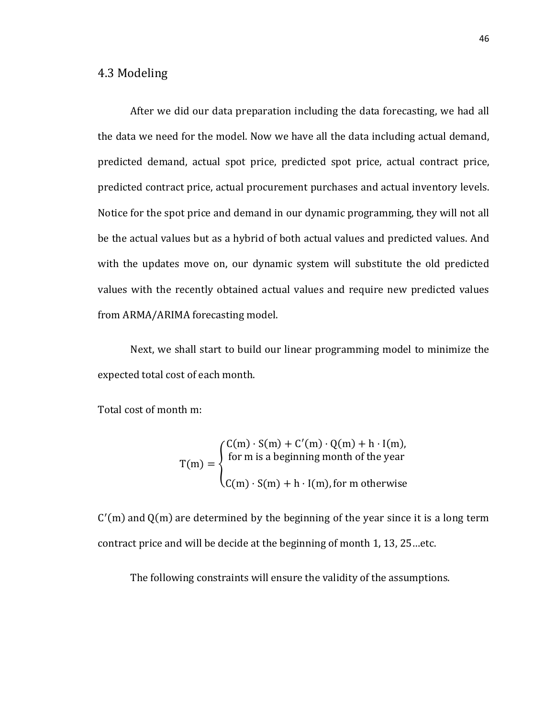#### 4.3 Modeling

After we did our data preparation including the data forecasting, we had all the data we need for the model. Now we have all the data including actual demand, predicted demand, actual spot price, predicted spot price, actual contract price, predicted contract price, actual procurement purchases and actual inventory levels. Notice for the spot price and demand in our dynamic programming, they will not all be the actual values but as a hybrid of both actual values and predicted values. And with the updates move on, our dynamic system will substitute the old predicted values with the recently obtained actual values and require new predicted values from ARMA/ARIMA forecasting model.

Next, we shall start to build our linear programming model to minimize the expected total cost of each month.

Total cost of month m:

$$
T(m) = \begin{cases} C(m) \cdot S(m) + C'(m) \cdot Q(m) + h \cdot I(m), \\ \text{for m is a beginning month of the year} \\ C(m) \cdot S(m) + h \cdot I(m), \text{for m otherwise} \end{cases}
$$

C′ (m) and Q(m) are determined by the beginning of the year since it is a long term contract price and will be decide at the beginning of month 1, 13, 25…etc.

The following constraints will ensure the validity of the assumptions.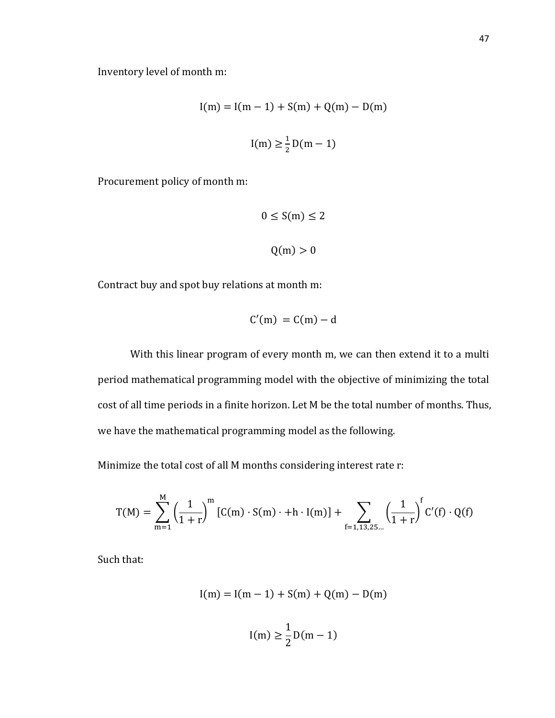Inventory level of month m:

$$
I(m) = I(m - 1) + S(m) + Q(m) - D(m)
$$

$$
I(m) \ge \frac{1}{2}D(m - 1)
$$

Procurement policy of month m:

$$
0 \le S(m) \le 2
$$
  
Q(m) > 0

Contract buy and spot buy relations at month m:

$$
C'(m) = C(m) - d
$$

With this linear program of every month m, we can then extend it to a multi period mathematical programming model with the objective of minimizing the total cost of all time periods in a finite horizon. Let M be the total number of months. Thus, we have the mathematical programming model as the following.

Minimize the total cost of all M months considering interest rate r:

$$
T(M) = \sum_{m=1}^{M} \left(\frac{1}{1+r}\right)^m \left[C(m) \cdot S(m) \cdot + h \cdot I(m)\right] + \sum_{f=1,13,25\ldots} \left(\frac{1}{1+r}\right)^f C'(f) \cdot Q(f)
$$

Such that:

$$
I(m) = I(m - 1) + S(m) + Q(m) - D(m)
$$

$$
I(m) \ge \frac{1}{2}D(m - 1)
$$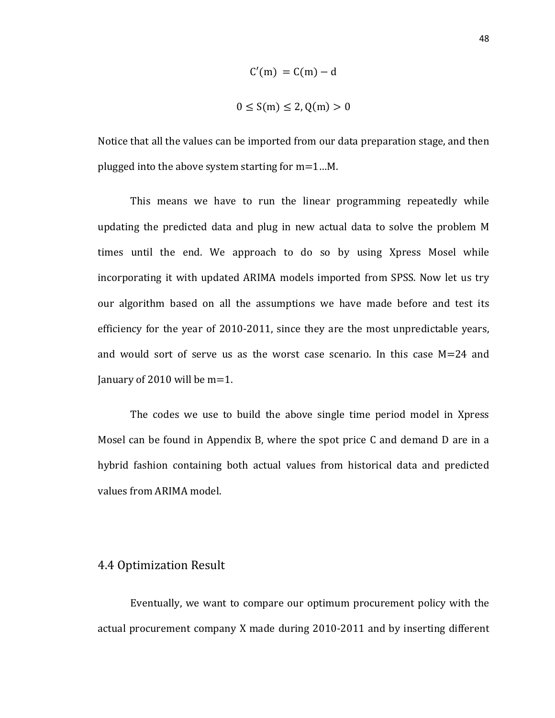$$
C'(m) = C(m) - d
$$

$$
0 \le S(m) \le 2, Q(m) > 0
$$

Notice that all the values can be imported from our data preparation stage, and then plugged into the above system starting for m=1…M.

This means we have to run the linear programming repeatedly while updating the predicted data and plug in new actual data to solve the problem M times until the end. We approach to do so by using Xpress Mosel while incorporating it with updated ARIMA models imported from SPSS. Now let us try our algorithm based on all the assumptions we have made before and test its efficiency for the year of 2010-2011, since they are the most unpredictable years, and would sort of serve us as the worst case scenario. In this case M=24 and January of 2010 will be m=1.

The codes we use to build the above single time period model in Xpress Mosel can be found in Appendix B, where the spot price C and demand D are in a hybrid fashion containing both actual values from historical data and predicted values from ARIMA model.

#### 4.4 Optimization Result

Eventually, we want to compare our optimum procurement policy with the actual procurement company X made during 2010-2011 and by inserting different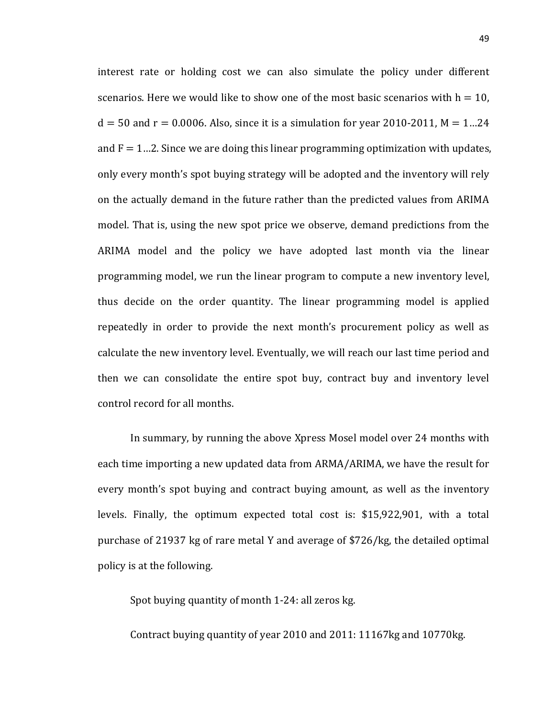interest rate or holding cost we can also simulate the policy under different scenarios. Here we would like to show one of the most basic scenarios with  $h = 10$ ,  $d = 50$  and  $r = 0.0006$ . Also, since it is a simulation for year 2010-2011, M = 1...24 and  $F = 1...2$ . Since we are doing this linear programming optimization with updates, only every month's spot buying strategy will be adopted and the inventory will rely on the actually demand in the future rather than the predicted values from ARIMA model. That is, using the new spot price we observe, demand predictions from the ARIMA model and the policy we have adopted last month via the linear programming model, we run the linear program to compute a new inventory level, thus decide on the order quantity. The linear programming model is applied repeatedly in order to provide the next month's procurement policy as well as calculate the new inventory level. Eventually, we will reach our last time period and then we can consolidate the entire spot buy, contract buy and inventory level control record for all months.

In summary, by running the above Xpress Mosel model over 24 months with each time importing a new updated data from ARMA/ARIMA, we have the result for every month's spot buying and contract buying amount, as well as the inventory levels. Finally, the optimum expected total cost is: \$15,922,901, with a total purchase of 21937 kg of rare metal Y and average of \$726/kg, the detailed optimal policy is at the following.

Spot buying quantity of month 1-24: all zeros kg.

Contract buying quantity of year 2010 and 2011: 11167kg and 10770kg.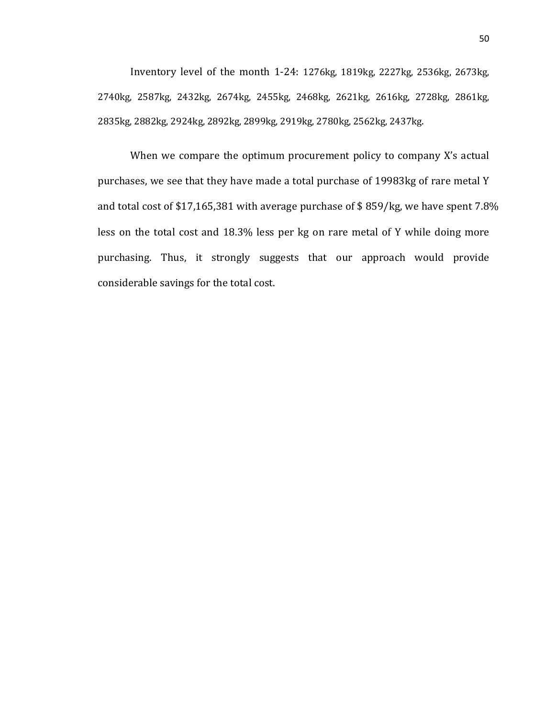Inventory level of the month 1-24: 1276kg, 1819kg, 2227kg, 2536kg, 2673kg, 2740kg, 2587kg, 2432kg, 2674kg, 2455kg, 2468kg, 2621kg, 2616kg, 2728kg, 2861kg, 2835kg, 2882kg, 2924kg, 2892kg, 2899kg, 2919kg, 2780kg, 2562kg, 2437kg.

When we compare the optimum procurement policy to company X's actual purchases, we see that they have made a total purchase of 19983kg of rare metal Y and total cost of \$17,165,381 with average purchase of \$ 859/kg, we have spent 7.8% less on the total cost and 18.3% less per kg on rare metal of Y while doing more purchasing. Thus, it strongly suggests that our approach would provide considerable savings for the total cost.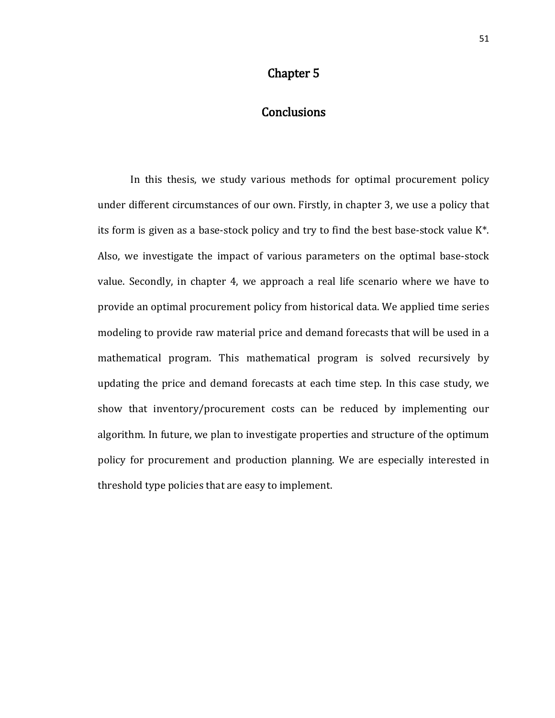## Chapter 5

## **Conclusions**

In this thesis, we study various methods for optimal procurement policy under different circumstances of our own. Firstly, in chapter 3, we use a policy that its form is given as a base-stock policy and try to find the best base-stock value K\*. Also, we investigate the impact of various parameters on the optimal base-stock value. Secondly, in chapter 4, we approach a real life scenario where we have to provide an optimal procurement policy from historical data. We applied time series modeling to provide raw material price and demand forecasts that will be used in a mathematical program. This mathematical program is solved recursively by updating the price and demand forecasts at each time step. In this case study, we show that inventory/procurement costs can be reduced by implementing our algorithm. In future, we plan to investigate properties and structure of the optimum policy for procurement and production planning. We are especially interested in threshold type policies that are easy to implement.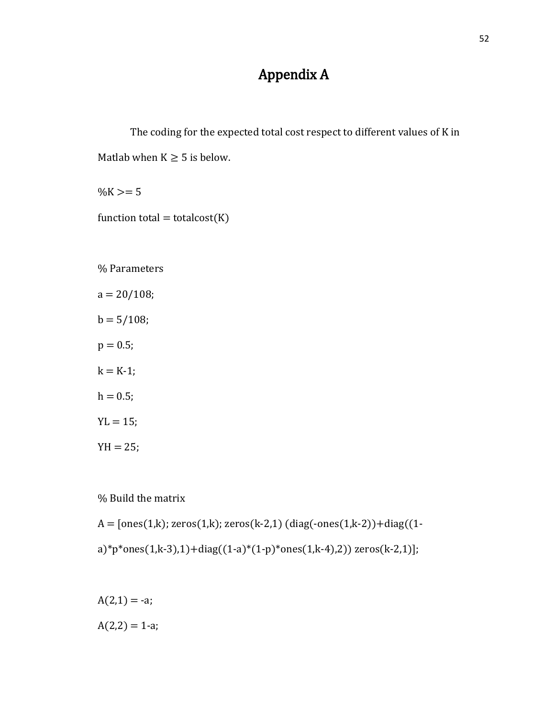# Appendix A

```
The coding for the expected total cost respect to different values of K in 
Matlab when K \geq 5 is below.
```
 $\%K = 5$ 

function total = totalcost $(K)$ 

% Parameters

 $a = 20/108;$  $b = 5/108;$  $p = 0.5$ ;  $k = K-1;$  $h = 0.5;$  $YL = 15;$  $YH = 25;$ 

% Build the matrix

 $A = [ones(1,k); zeros(1,k); zeros(k-2,1) (diag(-ones(1,k-2))+diag((1-k-1)k-1,1-k))]$ a)\*p\*ones(1,k-3),1)+diag((1-a)\*(1-p)\*ones(1,k-4),2)) zeros(k-2,1)];

 $A(2,1) = -a;$  $A(2,2) = 1-a;$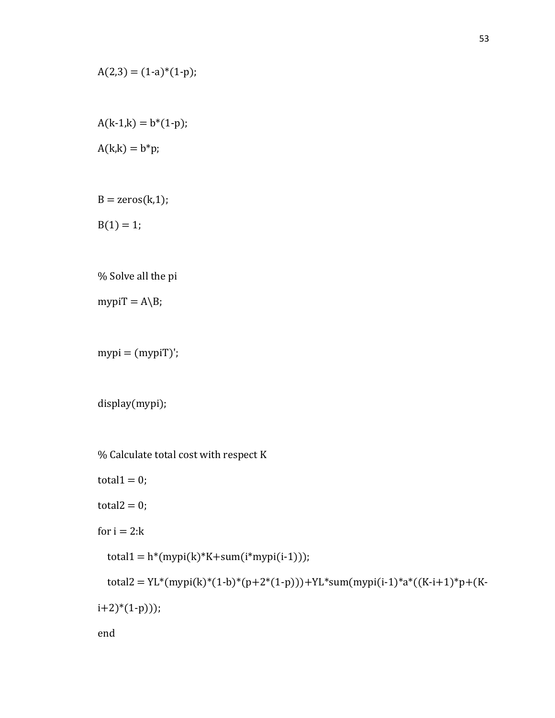$$
A(2,3) = (1-a)*(1-p);
$$

 $A(k-1,k) = b*(1-p);$  $A(k,k) = b^*p;$ 

 $B = zeros(k,1);$ 

 $B(1) = 1;$ 

% Solve all the pi

mypiT =  $A\ B$ ;

 $mypi = (mypiT)$ ;

display(mypi);

% Calculate total cost with respect K

total $1 = 0$ ;

total $2 = 0$ ;

for  $i = 2:k$ 

 $total1 = h*(mypi(k)*K+sum(i*mypi(i-1)));$ 

```
total2 = YL*(mypi(k)*(1-b)*(p+2*(1-p)))+YL*sum(mypi(i-1)*a*((K-i+1)*p+(K-
```
 $(i+2)*(1-p))$ ;

end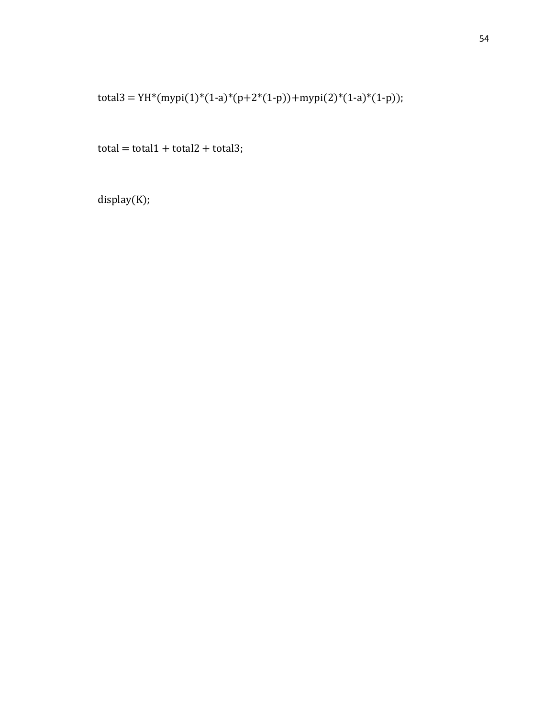total3 = YH\*(mypi(1)\*(1-a)\*(p+2\*(1-p))+mypi(2)\*(1-a)\*(1-p));

 $total = total1 + total2 + total3;$ 

display(K);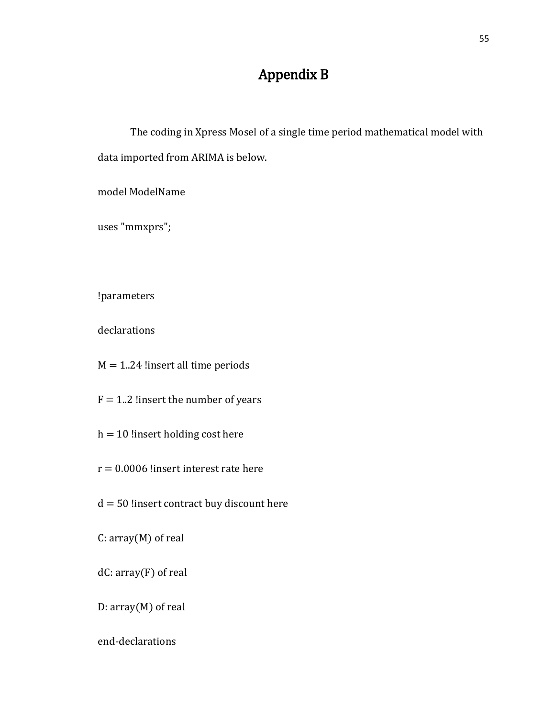# Appendix B

The coding in Xpress Mosel of a single time period mathematical model with data imported from ARIMA is below.

model ModelName

uses "mmxprs";

!parameters

declarations

 $M = 1.24$  !insert all time periods

 $F = 1.2$  !insert the number of years

 $h = 10$  !insert holding cost here

 $r = 0.0006$  !insert interest rate here

 $d = 50$  !insert contract buy discount here

C: array(M) of real

dC: array(F) of real

D: array(M) of real

end-declarations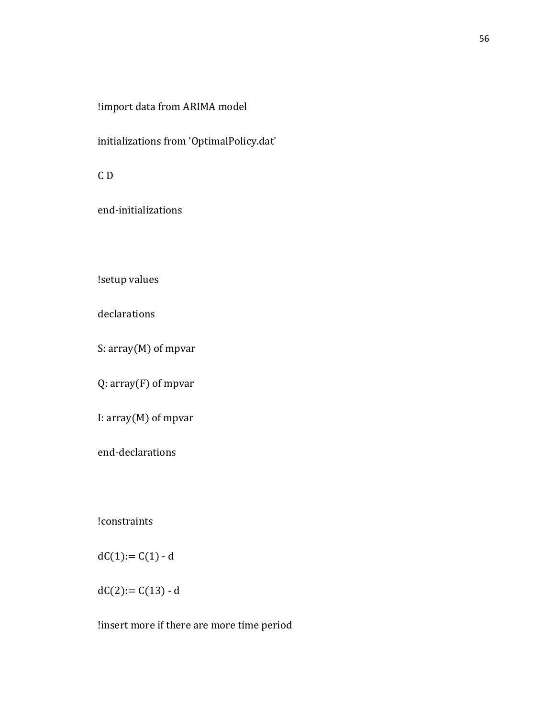## !import data from ARIMA model

initializations from 'OptimalPolicy.dat'

C D

end-initializations

!setup values

declarations

S: array(M) of mpvar

Q: array(F) of mpvar

I: array(M) of mpvar

end-declarations

!constraints

 $dC(1) = C(1) - d$ 

 $dC(2) := C(13) - d$ 

!insert more if there are more time period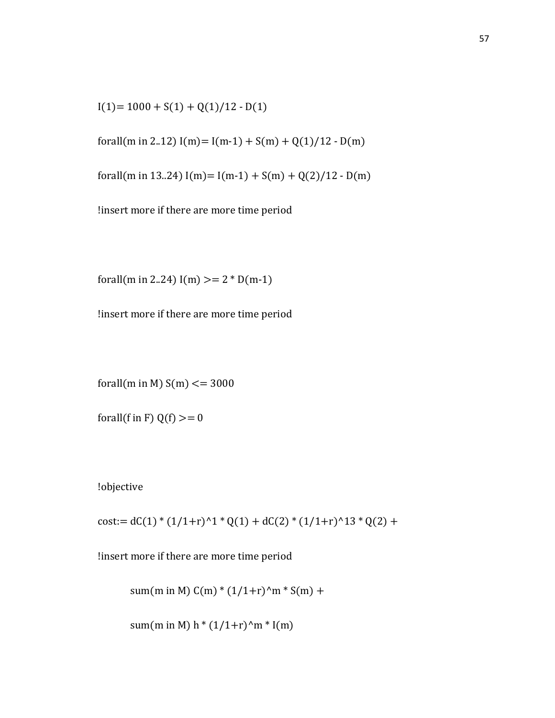$I(1)= 1000 + S(1) + Q(1)/12 - D(1)$ 

forall(m in 2..12)  $I(m)= I(m-1) + S(m) + Q(1)/12 - D(m)$ 

forall(m in 13..24)  $I(m)= I(m-1) + S(m) + Q(2)/12 - D(m)$ 

!insert more if there are more time period

forall(m in 2..24)  $I(m)$  >= 2  $*$  D(m-1)

!insert more if there are more time period

forall(m in M)  $S(m) \le 3000$ 

forall(f in F)  $Q(f) >= 0$ 

!objective

 $cost:= dC(1) * (1/1+r)^{1} * Q(1) + dC(2) * (1/1+r)^{1} * Q(2) +$ 

!insert more if there are more time period

sum(m in M)  $C(m) * (1/1+r)^{n}$  \* S(m) +

sum(m in M) h  $*(1/1+r)^n m * I(m)$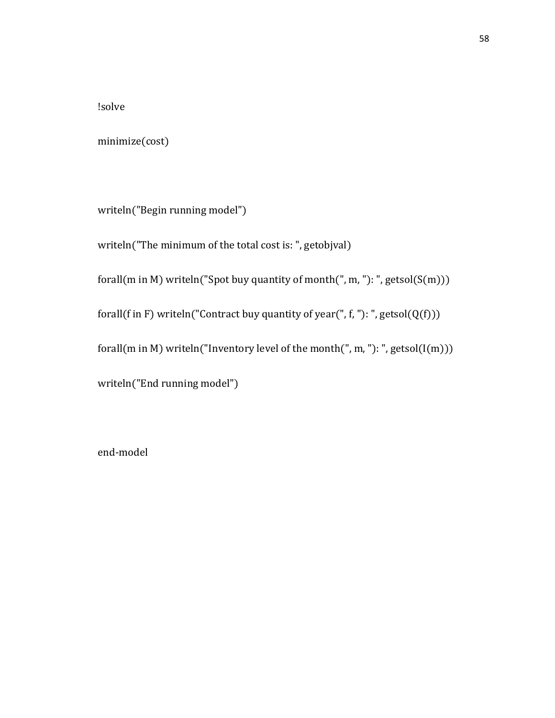!solve

minimize(cost)

writeln("Begin running model")

writeln("The minimum of the total cost is: ", getobjval)

forall(m in M) writeln("Spot buy quantity of month(", m, "): ", getsol( $S(m)$ ))

forall(f in F) writeln("Contract buy quantity of year(", f, "): ", getsol( $Q(f)$ ))

forall(m in M) writeln("Inventory level of the month(", m, "): ", getsol( $I(m)$ ))

writeln("End running model")

end-model